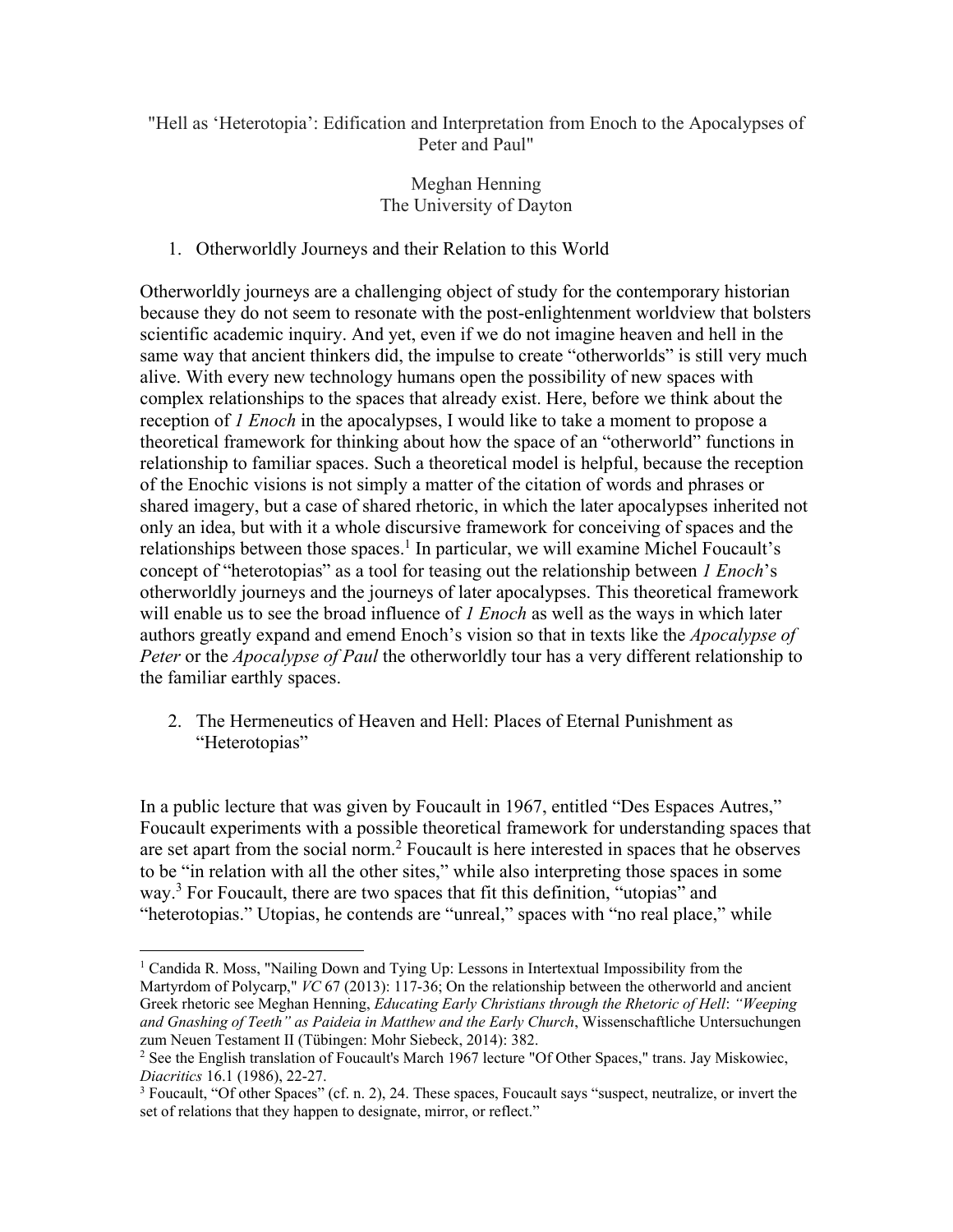## "Hell as 'Heterotopia': Edification and Interpretation from Enoch to the Apocalypses of Peter and Paul"

# Meghan Henning The University of Dayton

## 1. Otherworldly Journeys and their Relation to this World

Otherworldly journeys are a challenging object of study for the contemporary historian because they do not seem to resonate with the post-enlightenment worldview that bolsters scientific academic inquiry. And yet, even if we do not imagine heaven and hell in the same way that ancient thinkers did, the impulse to create "otherworlds" is still very much alive. With every new technology humans open the possibility of new spaces with complex relationships to the spaces that already exist. Here, before we think about the reception of *1 Enoch* in the apocalypses, I would like to take a moment to propose a theoretical framework for thinking about how the space of an "otherworld" functions in relationship to familiar spaces. Such a theoretical model is helpful, because the reception of the Enochic visions is not simply a matter of the citation of words and phrases or shared imagery, but a case of shared rhetoric, in which the later apocalypses inherited not only an idea, but with it a whole discursive framework for conceiving of spaces and the relationships between those spaces.<sup>1</sup> In particular, we will examine Michel Foucault's concept of "heterotopias" as a tool for teasing out the relationship between *1 Enoch*'s otherworldly journeys and the journeys of later apocalypses. This theoretical framework will enable us to see the broad influence of *1 Enoch* as well as the ways in which later authors greatly expand and emend Enoch's vision so that in texts like the *Apocalypse of Peter* or the *Apocalypse of Paul* the otherworldly tour has a very different relationship to the familiar earthly spaces.

2. The Hermeneutics of Heaven and Hell: Places of Eternal Punishment as "Heterotopias"

In a public lecture that was given by Foucault in 1967, entitled "Des Espaces Autres," Foucault experiments with a possible theoretical framework for understanding spaces that are set apart from the social norm.<sup>2</sup> Foucault is here interested in spaces that he observes to be "in relation with all the other sites," while also interpreting those spaces in some way.<sup>3</sup> For Foucault, there are two spaces that fit this definition, "utopias" and "heterotopias." Utopias, he contends are "unreal," spaces with "no real place," while

<sup>&</sup>lt;sup>1</sup> Candida R. Moss, "Nailing Down and Tying Up: Lessons in Intertextual Impossibility from the Martyrdom of Polycarp," *VC* 67 (2013): 117-36; On the relationship between the otherworld and ancient Greek rhetoric see Meghan Henning, *Educating Early Christians through the Rhetoric of Hell*: *"Weeping and Gnashing of Teeth" as Paideia in Matthew and the Early Church*, Wissenschaftliche Untersuchungen zum Neuen Testament II (Tübingen: Mohr Siebeck, 2014): 382.

<sup>2</sup> See the English translation of Foucault's March 1967 lecture "Of Other Spaces," trans. Jay Miskowiec, *Diacritics* 16.1 (1986), 22-27.

<sup>&</sup>lt;sup>3</sup> Foucault, "Of other Spaces" (cf. n. 2), 24. These spaces, Foucault says "suspect, neutralize, or invert the set of relations that they happen to designate, mirror, or reflect."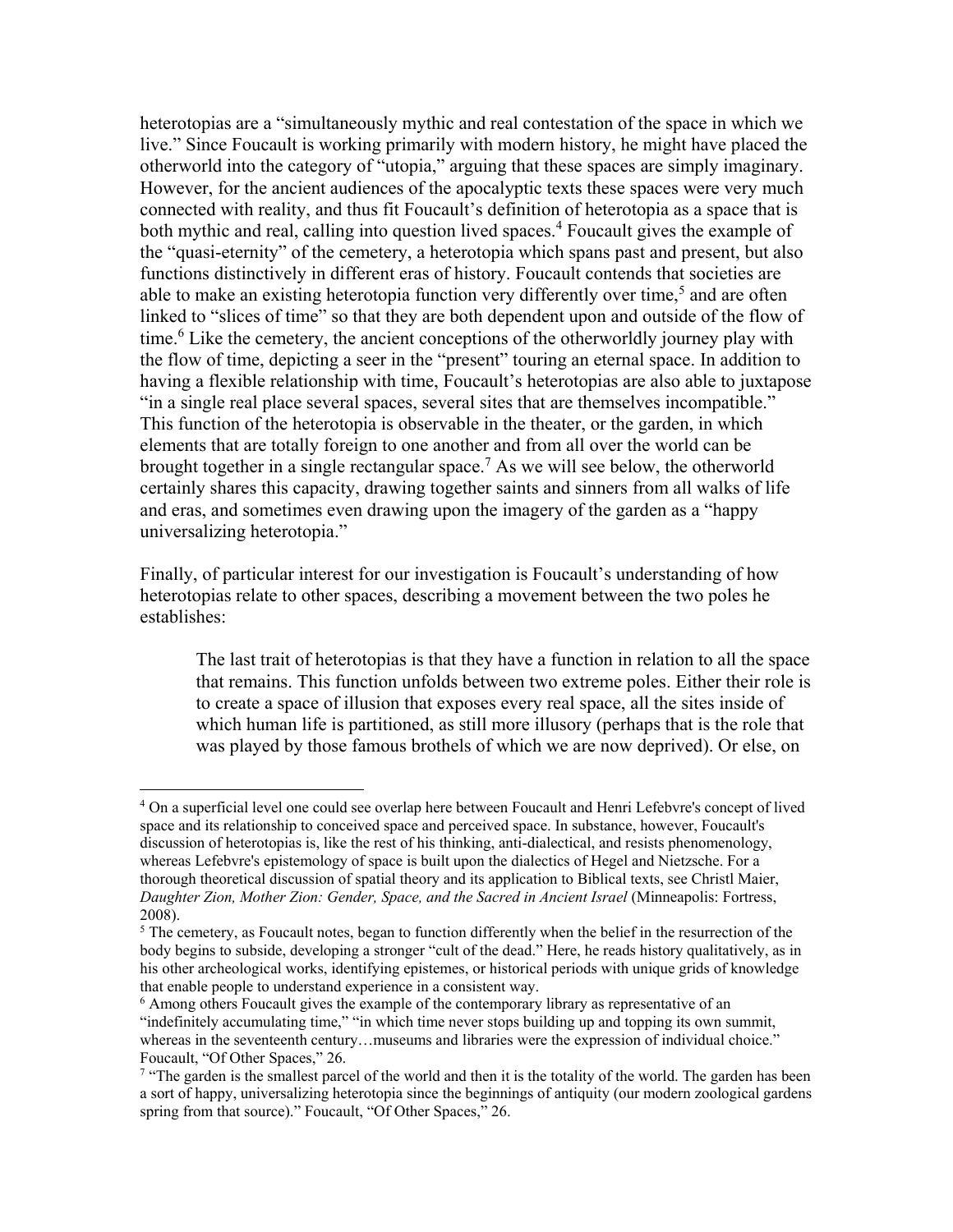heterotopias are a "simultaneously mythic and real contestation of the space in which we live." Since Foucault is working primarily with modern history, he might have placed the otherworld into the category of "utopia," arguing that these spaces are simply imaginary. However, for the ancient audiences of the apocalyptic texts these spaces were very much connected with reality, and thus fit Foucault's definition of heterotopia as a space that is both mythic and real, calling into question lived spaces.<sup>4</sup> Foucault gives the example of the "quasi-eternity" of the cemetery, a heterotopia which spans past and present, but also functions distinctively in different eras of history. Foucault contends that societies are able to make an existing heterotopia function very differently over time,<sup>5</sup> and are often linked to "slices of time" so that they are both dependent upon and outside of the flow of time.<sup>6</sup> Like the cemetery, the ancient conceptions of the otherworldly journey play with the flow of time, depicting a seer in the "present" touring an eternal space. In addition to having a flexible relationship with time, Foucault's heterotopias are also able to juxtapose "in a single real place several spaces, several sites that are themselves incompatible." This function of the heterotopia is observable in the theater, or the garden, in which elements that are totally foreign to one another and from all over the world can be brought together in a single rectangular space.<sup>7</sup> As we will see below, the otherworld certainly shares this capacity, drawing together saints and sinners from all walks of life and eras, and sometimes even drawing upon the imagery of the garden as a "happy universalizing heterotopia."

Finally, of particular interest for our investigation is Foucault's understanding of how heterotopias relate to other spaces, describing a movement between the two poles he establishes:

The last trait of heterotopias is that they have a function in relation to all the space that remains. This function unfolds between two extreme poles. Either their role is to create a space of illusion that exposes every real space, all the sites inside of which human life is partitioned, as still more illusory (perhaps that is the role that was played by those famous brothels of which we are now deprived). Or else, on

<sup>4</sup> On a superficial level one could see overlap here between Foucault and Henri Lefebvre's concept of lived space and its relationship to conceived space and perceived space. In substance, however, Foucault's discussion of heterotopias is, like the rest of his thinking, anti-dialectical, and resists phenomenology, whereas Lefebvre's epistemology of space is built upon the dialectics of Hegel and Nietzsche. For a thorough theoretical discussion of spatial theory and its application to Biblical texts, see Christl Maier, *Daughter Zion, Mother Zion: Gender, Space, and the Sacred in Ancient Israel* (Minneapolis: Fortress, 2008).

<sup>&</sup>lt;sup>5</sup> The cemetery, as Foucault notes, began to function differently when the belief in the resurrection of the body begins to subside, developing a stronger "cult of the dead." Here, he reads history qualitatively, as in his other archeological works, identifying epistemes, or historical periods with unique grids of knowledge that enable people to understand experience in a consistent way.

<sup>6</sup> Among others Foucault gives the example of the contemporary library as representative of an "indefinitely accumulating time," "in which time never stops building up and topping its own summit, whereas in the seventeenth century…museums and libraries were the expression of individual choice." Foucault, "Of Other Spaces," 26.

<sup>&</sup>lt;sup>7</sup> "The garden is the smallest parcel of the world and then it is the totality of the world. The garden has been a sort of happy, universalizing heterotopia since the beginnings of antiquity (our modern zoological gardens spring from that source)." Foucault, "Of Other Spaces," 26.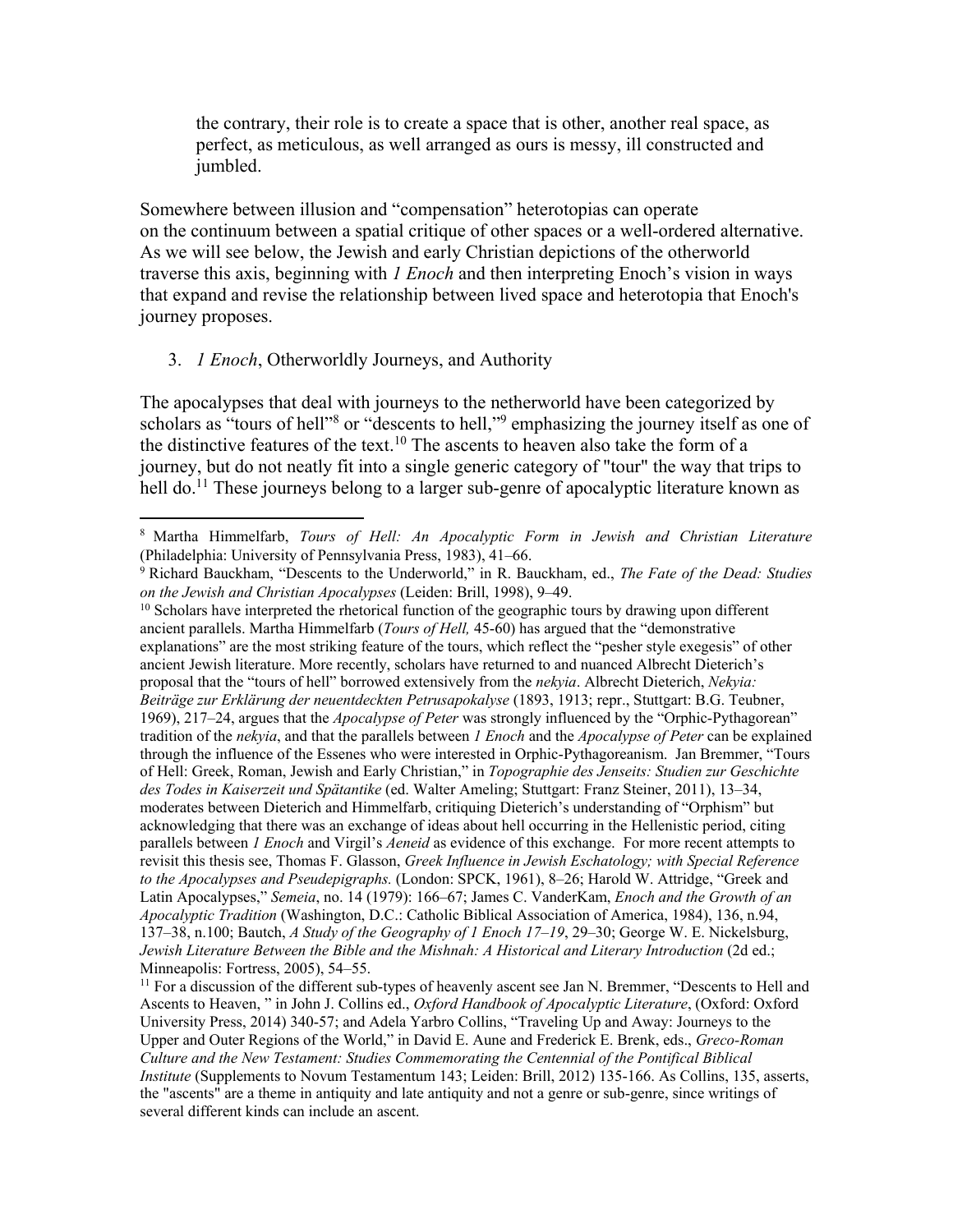the contrary, their role is to create a space that is other, another real space, as perfect, as meticulous, as well arranged as ours is messy, ill constructed and jumbled.

Somewhere between illusion and "compensation" heterotopias can operate on the continuum between a spatial critique of other spaces or a well-ordered alternative. As we will see below, the Jewish and early Christian depictions of the otherworld traverse this axis, beginning with *1 Enoch* and then interpreting Enoch's vision in ways that expand and revise the relationship between lived space and heterotopia that Enoch's journey proposes.

## 3. *1 Enoch*, Otherworldly Journeys, and Authority

l

The apocalypses that deal with journeys to the netherworld have been categorized by scholars as "tours of hell"<sup>8</sup> or "descents to hell,"<sup>9</sup> emphasizing the journey itself as one of the distinctive features of the text.<sup>10</sup> The ascents to heaven also take the form of a journey, but do not neatly fit into a single generic category of "tour" the way that trips to hell do.<sup>11</sup> These journeys belong to a larger sub-genre of apocalyptic literature known as

 $10$  Scholars have interpreted the rhetorical function of the geographic tours by drawing upon different ancient parallels. Martha Himmelfarb (*Tours of Hell,* 45-60) has argued that the "demonstrative explanations" are the most striking feature of the tours, which reflect the "pesher style exegesis" of other ancient Jewish literature. More recently, scholars have returned to and nuanced Albrecht Dieterich's proposal that the "tours of hell" borrowed extensively from the *nekyia*. Albrecht Dieterich, *Nekyia: Beiträge zur Erklärung der neuentdeckten Petrusapokalyse* (1893, 1913; repr., Stuttgart: B.G. Teubner, 1969), 217–24, argues that the *Apocalypse of Peter* was strongly influenced by the "Orphic-Pythagorean" tradition of the *nekyia*, and that the parallels between *1 Enoch* and the *Apocalypse of Peter* can be explained through the influence of the Essenes who were interested in Orphic-Pythagoreanism. Jan Bremmer, "Tours of Hell: Greek, Roman, Jewish and Early Christian," in *Topographie des Jenseits: Studien zur Geschichte des Todes in Kaiserzeit und Spätantike* (ed. Walter Ameling; Stuttgart: Franz Steiner, 2011), 13–34, moderates between Dieterich and Himmelfarb, critiquing Dieterich's understanding of "Orphism" but acknowledging that there was an exchange of ideas about hell occurring in the Hellenistic period, citing parallels between *1 Enoch* and Virgil's *Aeneid* as evidence of this exchange. For more recent attempts to revisit this thesis see, Thomas F. Glasson, *Greek Influence in Jewish Eschatology; with Special Reference to the Apocalypses and Pseudepigraphs.* (London: SPCK, 1961), 8–26; Harold W. Attridge, "Greek and Latin Apocalypses," *Semeia*, no. 14 (1979): 166–67; James C. VanderKam, *Enoch and the Growth of an Apocalyptic Tradition* (Washington, D.C.: Catholic Biblical Association of America, 1984), 136, n.94, 137–38, n.100; Bautch, *A Study of the Geography of 1 Enoch 17–19*, 29–30; George W. E. Nickelsburg, *Jewish Literature Between the Bible and the Mishnah: A Historical and Literary Introduction* (2d ed.; Minneapolis: Fortress, 2005), 54–55.

 $<sup>11</sup>$  For a discussion of the different sub-types of heavenly ascent see Jan N. Bremmer, "Descents to Hell and</sup> Ascents to Heaven, " in John J. Collins ed., *Oxford Handbook of Apocalyptic Literature*, (Oxford: Oxford University Press, 2014) 340-57; and Adela Yarbro Collins, "Traveling Up and Away: Journeys to the Upper and Outer Regions of the World," in David E. Aune and Frederick E. Brenk, eds., *Greco-Roman Culture and the New Testament: Studies Commemorating the Centennial of the Pontifical Biblical Institute* (Supplements to Novum Testamentum 143; Leiden: Brill, 2012) 135-166. As Collins, 135, asserts, the "ascents" are a theme in antiquity and late antiquity and not a genre or sub-genre, since writings of several different kinds can include an ascent.

<sup>8</sup> Martha Himmelfarb, *Tours of Hell: An Apocalyptic Form in Jewish and Christian Literature* (Philadelphia: University of Pennsylvania Press, 1983), 41–66.

<sup>9</sup> Richard Bauckham, "Descents to the Underworld," in R. Bauckham, ed., *The Fate of the Dead: Studies on the Jewish and Christian Apocalypses* (Leiden: Brill, 1998), 9–49.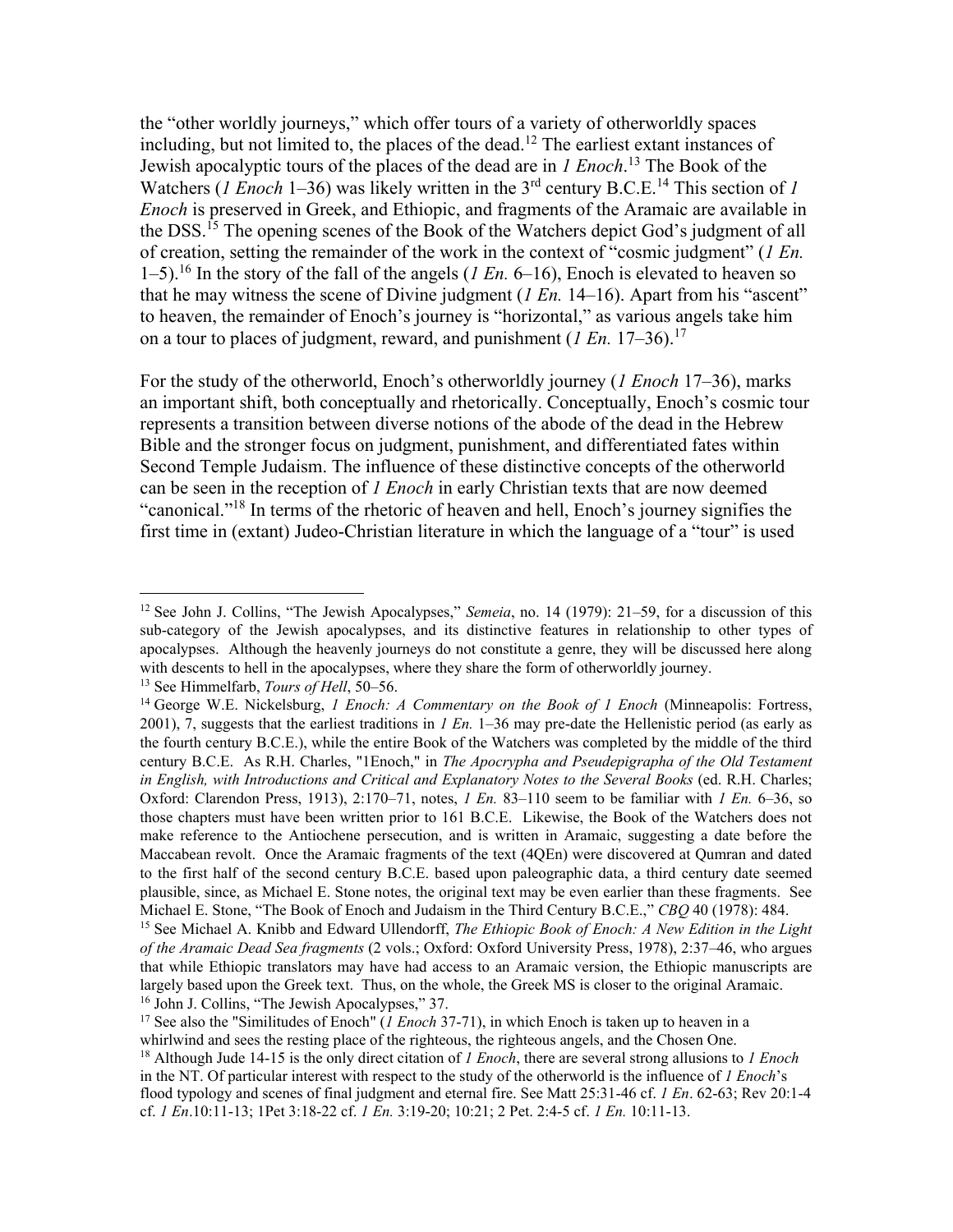the "other worldly journeys," which offer tours of a variety of otherworldly spaces including, but not limited to, the places of the dead.<sup>12</sup> The earliest extant instances of Jewish apocalyptic tours of the places of the dead are in *1 Enoch*. <sup>13</sup> The Book of the Watchers (*1 Enoch* 1–36) was likely written in the 3<sup>rd</sup> century B.C.E.<sup>14</sup> This section of *1 Enoch* is preserved in Greek, and Ethiopic, and fragments of the Aramaic are available in the DSS.<sup>15</sup> The opening scenes of the Book of the Watchers depict God's judgment of all of creation, setting the remainder of the work in the context of "cosmic judgment" (*1 En.* 1–5).<sup>16</sup> In the story of the fall of the angels (*1 En.* 6–16), Enoch is elevated to heaven so that he may witness the scene of Divine judgment (*1 En.* 14–16). Apart from his "ascent" to heaven, the remainder of Enoch's journey is "horizontal," as various angels take him on a tour to places of judgment, reward, and punishment  $(I En. 17-36).$ <sup>17</sup>

For the study of the otherworld, Enoch's otherworldly journey (*1 Enoch* 17–36), marks an important shift, both conceptually and rhetorically. Conceptually, Enoch's cosmic tour represents a transition between diverse notions of the abode of the dead in the Hebrew Bible and the stronger focus on judgment, punishment, and differentiated fates within Second Temple Judaism. The influence of these distinctive concepts of the otherworld can be seen in the reception of *1 Enoch* in early Christian texts that are now deemed "canonical."<sup>18</sup> In terms of the rhetoric of heaven and hell, Enoch's journey signifies the first time in (extant) Judeo-Christian literature in which the language of a "tour" is used

<sup>&</sup>lt;sup>12</sup> See John J. Collins, "The Jewish Apocalypses," *Semeia*, no. 14 (1979): 21–59, for a discussion of this sub-category of the Jewish apocalypses, and its distinctive features in relationship to other types of apocalypses. Although the heavenly journeys do not constitute a genre, they will be discussed here along with descents to hell in the apocalypses, where they share the form of otherworldly journey.

<sup>&</sup>lt;sup>13</sup> See Himmelfarb, *Tours of Hell*, 50–56.

<sup>14</sup> George W.E. Nickelsburg, *1 Enoch: A Commentary on the Book of 1 Enoch* (Minneapolis: Fortress, 2001), 7, suggests that the earliest traditions in *1 En.* 1–36 may pre-date the Hellenistic period (as early as the fourth century B.C.E.), while the entire Book of the Watchers was completed by the middle of the third century B.C.E. As R.H. Charles, "1Enoch," in *The Apocrypha and Pseudepigrapha of the Old Testament in English, with Introductions and Critical and Explanatory Notes to the Several Books* (ed. R.H. Charles; Oxford: Clarendon Press, 1913), 2:170–71, notes, *1 En.* 83–110 seem to be familiar with *1 En.* 6–36, so those chapters must have been written prior to 161 B.C.E. Likewise, the Book of the Watchers does not make reference to the Antiochene persecution, and is written in Aramaic, suggesting a date before the Maccabean revolt. Once the Aramaic fragments of the text (4QEn) were discovered at Qumran and dated to the first half of the second century B.C.E. based upon paleographic data, a third century date seemed plausible, since, as Michael E. Stone notes, the original text may be even earlier than these fragments. See Michael E. Stone, "The Book of Enoch and Judaism in the Third Century B.C.E.," *CBQ* 40 (1978): 484.

<sup>15</sup> See Michael A. Knibb and Edward Ullendorff, *The Ethiopic Book of Enoch: A New Edition in the Light of the Aramaic Dead Sea fragments* (2 vols.; Oxford: Oxford University Press, 1978), 2:37–46, who argues that while Ethiopic translators may have had access to an Aramaic version, the Ethiopic manuscripts are largely based upon the Greek text. Thus, on the whole, the Greek MS is closer to the original Aramaic. <sup>16</sup> John J. Collins, "The Jewish Apocalypses," 37.

<sup>17</sup> See also the "Similitudes of Enoch" (*1 Enoch* 37-71), in which Enoch is taken up to heaven in a whirlwind and sees the resting place of the righteous, the righteous angels, and the Chosen One.

<sup>18</sup> Although Jude 14-15 is the only direct citation of *1 Enoch*, there are several strong allusions to *1 Enoch* in the NT. Of particular interest with respect to the study of the otherworld is the influence of *1 Enoch*'s flood typology and scenes of final judgment and eternal fire. See Matt 25:31-46 cf. *1 En*. 62-63; Rev 20:1-4 cf. *1 En*.10:11-13; 1Pet 3:18-22 cf. *1 En.* 3:19-20; 10:21; 2 Pet. 2:4-5 cf. *1 En.* 10:11-13.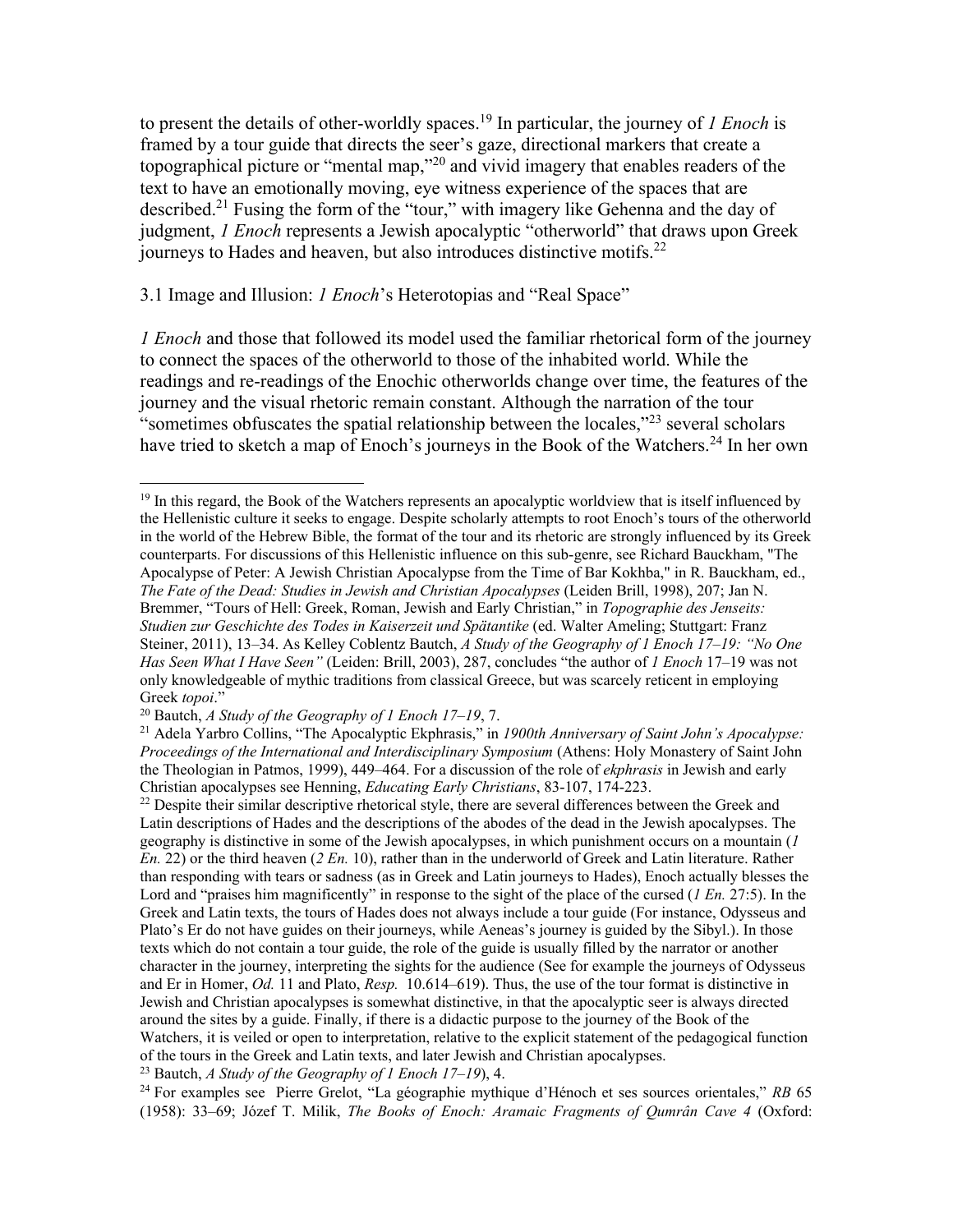to present the details of other-worldly spaces.<sup>19</sup> In particular, the journey of *1 Enoch* is framed by a tour guide that directs the seer's gaze, directional markers that create a topographical picture or "mental map,"<sup>20</sup> and vivid imagery that enables readers of the text to have an emotionally moving, eye witness experience of the spaces that are described.<sup>21</sup> Fusing the form of the "tour," with imagery like Gehenna and the day of judgment, *1 Enoch* represents a Jewish apocalyptic "otherworld" that draws upon Greek journeys to Hades and heaven, but also introduces distinctive motifs.<sup>22</sup>

### 3.1 Image and Illusion: *1 Enoch*'s Heterotopias and "Real Space"

*1 Enoch* and those that followed its model used the familiar rhetorical form of the journey to connect the spaces of the otherworld to those of the inhabited world. While the readings and re-readings of the Enochic otherworlds change over time, the features of the journey and the visual rhetoric remain constant. Although the narration of the tour "sometimes obfuscates the spatial relationship between the locales,"<sup>23</sup> several scholars have tried to sketch a map of Enoch's journeys in the Book of the Watchers.<sup>24</sup> In her own

l  $19$  In this regard, the Book of the Watchers represents an apocalyptic worldview that is itself influenced by the Hellenistic culture it seeks to engage. Despite scholarly attempts to root Enoch's tours of the otherworld in the world of the Hebrew Bible, the format of the tour and its rhetoric are strongly influenced by its Greek counterparts. For discussions of this Hellenistic influence on this sub-genre, see Richard Bauckham, "The Apocalypse of Peter: A Jewish Christian Apocalypse from the Time of Bar Kokhba," in R. Bauckham, ed., *The Fate of the Dead: Studies in Jewish and Christian Apocalypses* (Leiden Brill, 1998), 207; Jan N. Bremmer, "Tours of Hell: Greek, Roman, Jewish and Early Christian," in *Topographie des Jenseits: Studien zur Geschichte des Todes in Kaiserzeit und Spätantike* (ed. Walter Ameling; Stuttgart: Franz Steiner, 2011), 13–34. As Kelley Coblentz Bautch, *A Study of the Geography of 1 Enoch 17–19: "No One Has Seen What I Have Seen"* (Leiden: Brill, 2003), 287, concludes "the author of *1 Enoch* 17–19 was not only knowledgeable of mythic traditions from classical Greece, but was scarcely reticent in employing Greek *topoi*."

<sup>20</sup> Bautch, *A Study of the Geography of 1 Enoch 17–19*, 7.

<sup>21</sup> Adela Yarbro Collins, "The Apocalyptic Ekphrasis," in *1900th Anniversary of Saint John's Apocalypse: Proceedings of the International and Interdisciplinary Symposium* (Athens: Holy Monastery of Saint John the Theologian in Patmos, 1999), 449–464. For a discussion of the role of *ekphrasis* in Jewish and early Christian apocalypses see Henning, *Educating Early Christians*, 83-107, 174-223.

 $22$  Despite their similar descriptive rhetorical style, there are several differences between the Greek and Latin descriptions of Hades and the descriptions of the abodes of the dead in the Jewish apocalypses. The geography is distinctive in some of the Jewish apocalypses, in which punishment occurs on a mountain (*1 En.* 22) or the third heaven (*2 En.* 10), rather than in the underworld of Greek and Latin literature. Rather than responding with tears or sadness (as in Greek and Latin journeys to Hades), Enoch actually blesses the Lord and "praises him magnificently" in response to the sight of the place of the cursed (*1 En.* 27:5). In the Greek and Latin texts, the tours of Hades does not always include a tour guide (For instance, Odysseus and Plato's Er do not have guides on their journeys, while Aeneas's journey is guided by the Sibyl.). In those texts which do not contain a tour guide, the role of the guide is usually filled by the narrator or another character in the journey, interpreting the sights for the audience (See for example the journeys of Odysseus and Er in Homer, *Od.* 11 and Plato, *Resp.* 10.614–619). Thus, the use of the tour format is distinctive in Jewish and Christian apocalypses is somewhat distinctive, in that the apocalyptic seer is always directed around the sites by a guide. Finally, if there is a didactic purpose to the journey of the Book of the Watchers, it is veiled or open to interpretation, relative to the explicit statement of the pedagogical function of the tours in the Greek and Latin texts, and later Jewish and Christian apocalypses.

<sup>23</sup> Bautch, *A Study of the Geography of 1 Enoch 17–19*), 4.

<sup>24</sup> For examples see Pierre Grelot, "La géographie mythique d'Hénoch et ses sources orientales," *RB* 65 (1958): 33–69; Józef T. Milik, *The Books of Enoch: Aramaic Fragments of Qumrân Cave 4* (Oxford: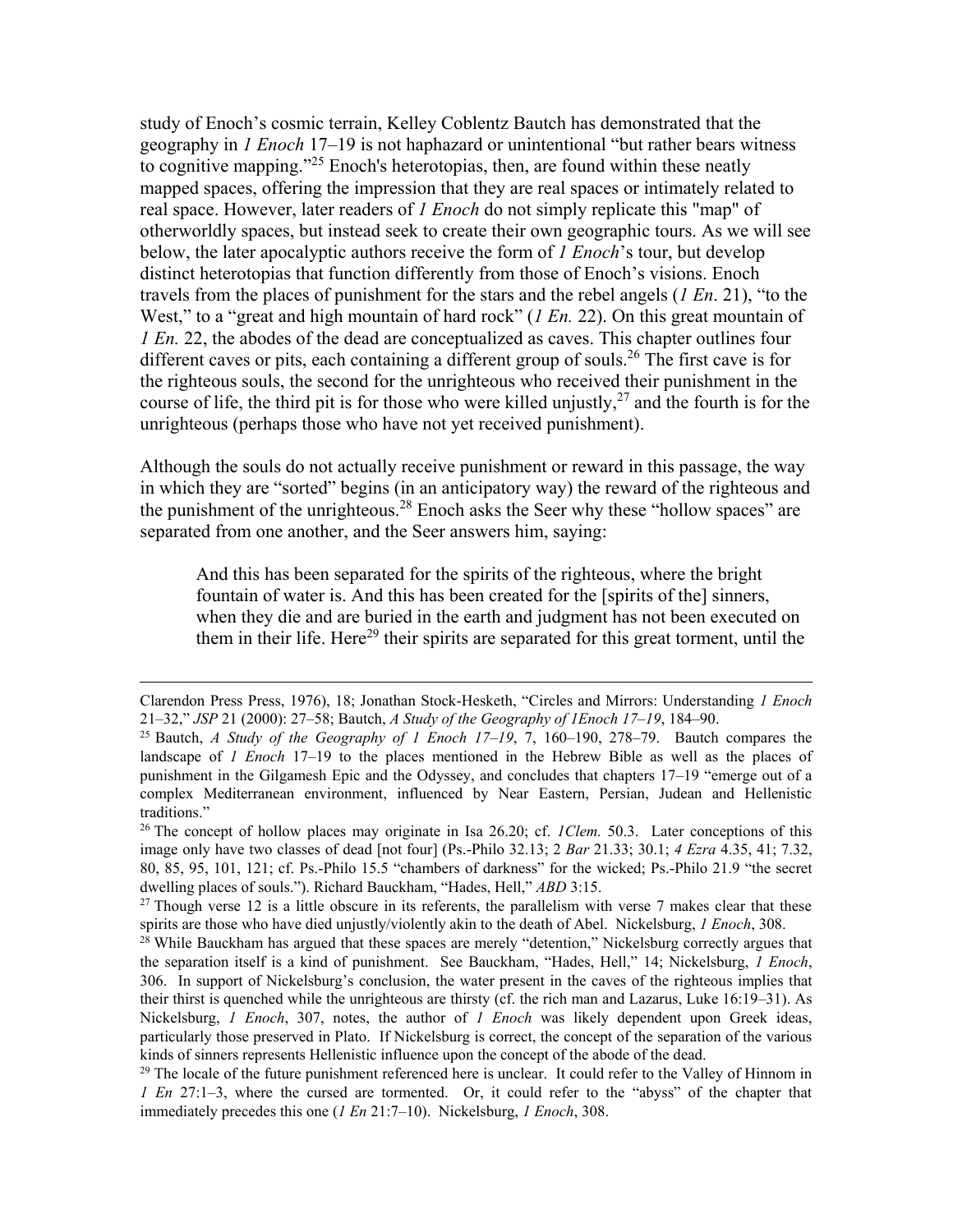study of Enoch's cosmic terrain, Kelley Coblentz Bautch has demonstrated that the geography in *1 Enoch* 17–19 is not haphazard or unintentional "but rather bears witness to cognitive mapping."<sup>25</sup> Enoch's heterotopias, then, are found within these neatly mapped spaces, offering the impression that they are real spaces or intimately related to real space. However, later readers of *1 Enoch* do not simply replicate this "map" of otherworldly spaces, but instead seek to create their own geographic tours. As we will see below, the later apocalyptic authors receive the form of *1 Enoch*'s tour, but develop distinct heterotopias that function differently from those of Enoch's visions. Enoch travels from the places of punishment for the stars and the rebel angels (*1 En*. 21), "to the West," to a "great and high mountain of hard rock" (*1 En.* 22). On this great mountain of *1 En.* 22, the abodes of the dead are conceptualized as caves. This chapter outlines four different caves or pits, each containing a different group of souls.<sup>26</sup> The first cave is for the righteous souls, the second for the unrighteous who received their punishment in the course of life, the third pit is for those who were killed unjustly,  $27$  and the fourth is for the unrighteous (perhaps those who have not yet received punishment).

Although the souls do not actually receive punishment or reward in this passage, the way in which they are "sorted" begins (in an anticipatory way) the reward of the righteous and the punishment of the unrighteous.<sup>28</sup> Enoch asks the Seer why these "hollow spaces" are separated from one another, and the Seer answers him, saying:

And this has been separated for the spirits of the righteous, where the bright fountain of water is. And this has been created for the [spirits of the] sinners, when they die and are buried in the earth and judgment has not been executed on them in their life. Here<sup>29</sup> their spirits are separated for this great torment, until the

Clarendon Press Press, 1976), 18; Jonathan Stock-Hesketh, "Circles and Mirrors: Understanding *1 Enoch* 21–32," *JSP* 21 (2000): 27–58; Bautch, *A Study of the Geography of 1Enoch 17–19*, 184–90.

<sup>25</sup> Bautch, *A Study of the Geography of 1 Enoch 17–19*, 7, 160–190, 278–79. Bautch compares the landscape of *1 Enoch* 17–19 to the places mentioned in the Hebrew Bible as well as the places of punishment in the Gilgamesh Epic and the Odyssey, and concludes that chapters 17–19 "emerge out of a complex Mediterranean environment, influenced by Near Eastern, Persian, Judean and Hellenistic traditions."

<sup>26</sup> The concept of hollow places may originate in Isa 26.20; cf. *1Clem.* 50.3. Later conceptions of this image only have two classes of dead [not four] (Ps.-Philo 32.13; 2 *Bar* 21.33; 30.1; *4 Ezra* 4.35, 41; 7.32, 80, 85, 95, 101, 121; cf. Ps.-Philo 15.5 "chambers of darkness" for the wicked; Ps.-Philo 21.9 "the secret dwelling places of souls."). Richard Bauckham, "Hades, Hell," *ABD* 3:15.

<sup>&</sup>lt;sup>27</sup> Though verse 12 is a little obscure in its referents, the parallelism with verse 7 makes clear that these spirits are those who have died unjustly/violently akin to the death of Abel. Nickelsburg, *1 Enoch*, 308.

<sup>&</sup>lt;sup>28</sup> While Bauckham has argued that these spaces are merely "detention," Nickelsburg correctly argues that the separation itself is a kind of punishment. See Bauckham, "Hades, Hell," 14; Nickelsburg, *1 Enoch*, 306. In support of Nickelsburg's conclusion, the water present in the caves of the righteous implies that their thirst is quenched while the unrighteous are thirsty (cf. the rich man and Lazarus, Luke 16:19–31). As Nickelsburg, *1 Enoch*, 307, notes, the author of *1 Enoch* was likely dependent upon Greek ideas, particularly those preserved in Plato. If Nickelsburg is correct, the concept of the separation of the various kinds of sinners represents Hellenistic influence upon the concept of the abode of the dead.

<sup>&</sup>lt;sup>29</sup> The locale of the future punishment referenced here is unclear. It could refer to the Valley of Hinnom in *1 En* 27:1–3, where the cursed are tormented. Or, it could refer to the "abyss" of the chapter that immediately precedes this one (*1 En* 21:7–10). Nickelsburg, *1 Enoch*, 308.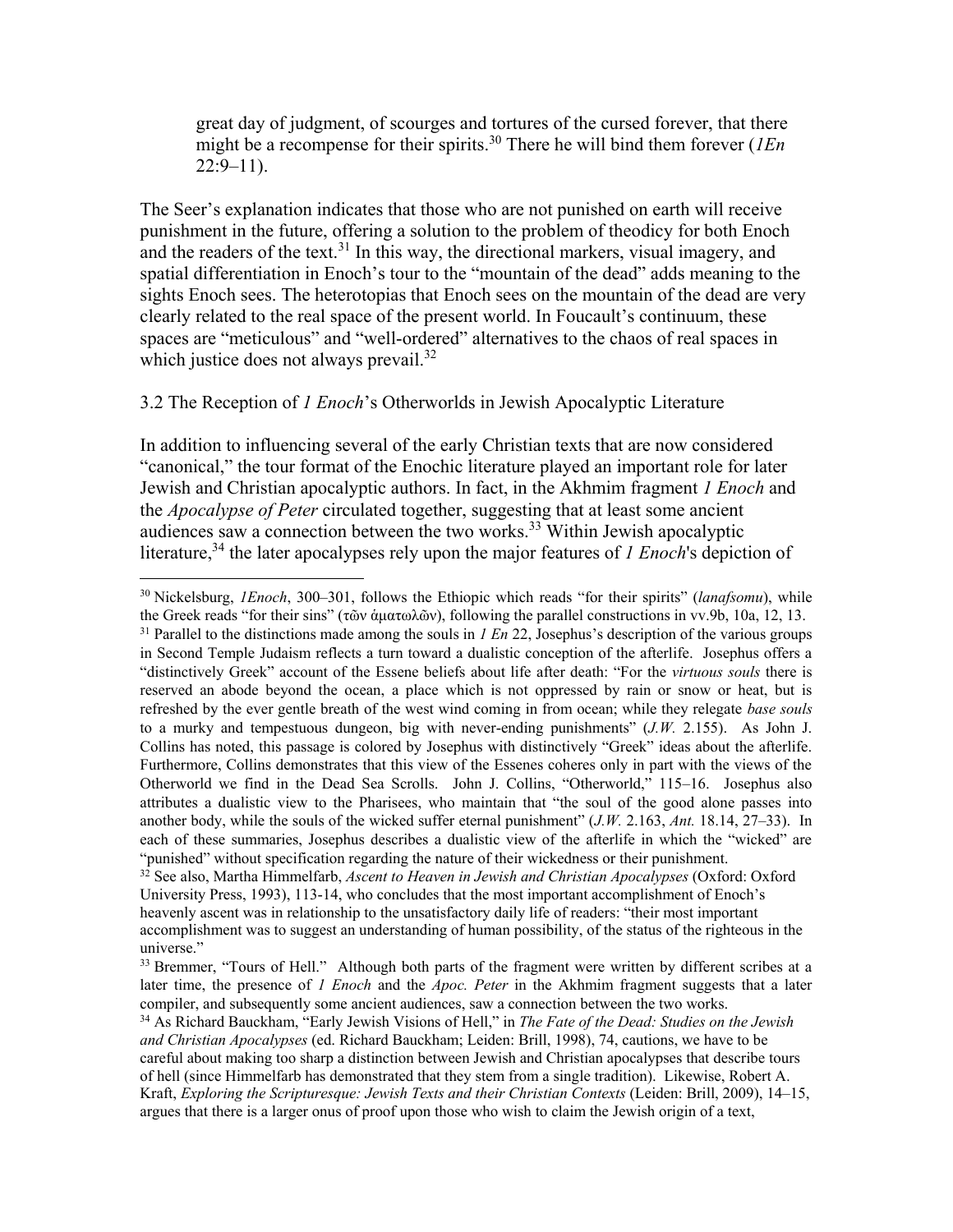great day of judgment, of scourges and tortures of the cursed forever, that there might be a recompense for their spirits.<sup>30</sup> There he will bind them forever (*1En*  $22:9-11$ ).

The Seer's explanation indicates that those who are not punished on earth will receive punishment in the future, offering a solution to the problem of theodicy for both Enoch and the readers of the text.<sup>31</sup> In this way, the directional markers, visual imagery, and spatial differentiation in Enoch's tour to the "mountain of the dead" adds meaning to the sights Enoch sees. The heterotopias that Enoch sees on the mountain of the dead are very clearly related to the real space of the present world. In Foucault's continuum, these spaces are "meticulous" and "well-ordered" alternatives to the chaos of real spaces in which justice does not always prevail. $32$ 

### 3.2 The Reception of *1 Enoch*'s Otherworlds in Jewish Apocalyptic Literature

 $\overline{a}$ 

In addition to influencing several of the early Christian texts that are now considered "canonical," the tour format of the Enochic literature played an important role for later Jewish and Christian apocalyptic authors. In fact, in the Akhmim fragment *1 Enoch* and the *Apocalypse of Peter* circulated together, suggesting that at least some ancient audiences saw a connection between the two works.<sup>33</sup> Within Jewish apocalyptic literature,<sup>34</sup> the later apocalypses rely upon the major features of *1 Enoch*'s depiction of

<sup>30</sup> Nickelsburg, *1Enoch*, 300–301, follows the Ethiopic which reads "for their spirits" (*lanafsomu*), while the Greek reads "for their sins" (τῶν ἁματωλῶν), following the parallel constructions in vv.9b, 10a, 12, 13. <sup>31</sup> Parallel to the distinctions made among the souls in *1 En* 22, Josephus's description of the various groups in Second Temple Judaism reflects a turn toward a dualistic conception of the afterlife. Josephus offers a "distinctively Greek" account of the Essene beliefs about life after death: "For the *virtuous souls* there is reserved an abode beyond the ocean, a place which is not oppressed by rain or snow or heat, but is refreshed by the ever gentle breath of the west wind coming in from ocean; while they relegate *base souls* to a murky and tempestuous dungeon, big with never-ending punishments" (*J.W.* 2.155). As John J. Collins has noted, this passage is colored by Josephus with distinctively "Greek" ideas about the afterlife. Furthermore, Collins demonstrates that this view of the Essenes coheres only in part with the views of the Otherworld we find in the Dead Sea Scrolls. John J. Collins, "Otherworld," 115–16. Josephus also attributes a dualistic view to the Pharisees, who maintain that "the soul of the good alone passes into another body, while the souls of the wicked suffer eternal punishment" (*J.W.* 2.163, *Ant.* 18.14, 27–33). In each of these summaries, Josephus describes a dualistic view of the afterlife in which the "wicked" are "punished" without specification regarding the nature of their wickedness or their punishment.

<sup>&</sup>lt;sup>32</sup> See also, Martha Himmelfarb, *Ascent to Heaven in Jewish and Christian Apocalypses* (Oxford: Oxford University Press, 1993), 113-14, who concludes that the most important accomplishment of Enoch's heavenly ascent was in relationship to the unsatisfactory daily life of readers: "their most important accomplishment was to suggest an understanding of human possibility, of the status of the righteous in the universe."

<sup>&</sup>lt;sup>33</sup> Bremmer, "Tours of Hell." Although both parts of the fragment were written by different scribes at a later time, the presence of *1 Enoch* and the *Apoc. Peter* in the Akhmim fragment suggests that a later compiler, and subsequently some ancient audiences, saw a connection between the two works.

<sup>34</sup> As Richard Bauckham, "Early Jewish Visions of Hell," in *The Fate of the Dead: Studies on the Jewish and Christian Apocalypses* (ed. Richard Bauckham; Leiden: Brill, 1998), 74, cautions, we have to be careful about making too sharp a distinction between Jewish and Christian apocalypses that describe tours of hell (since Himmelfarb has demonstrated that they stem from a single tradition). Likewise, Robert A. Kraft, *Exploring the Scripturesque: Jewish Texts and their Christian Contexts* (Leiden: Brill, 2009), 14–15, argues that there is a larger onus of proof upon those who wish to claim the Jewish origin of a text,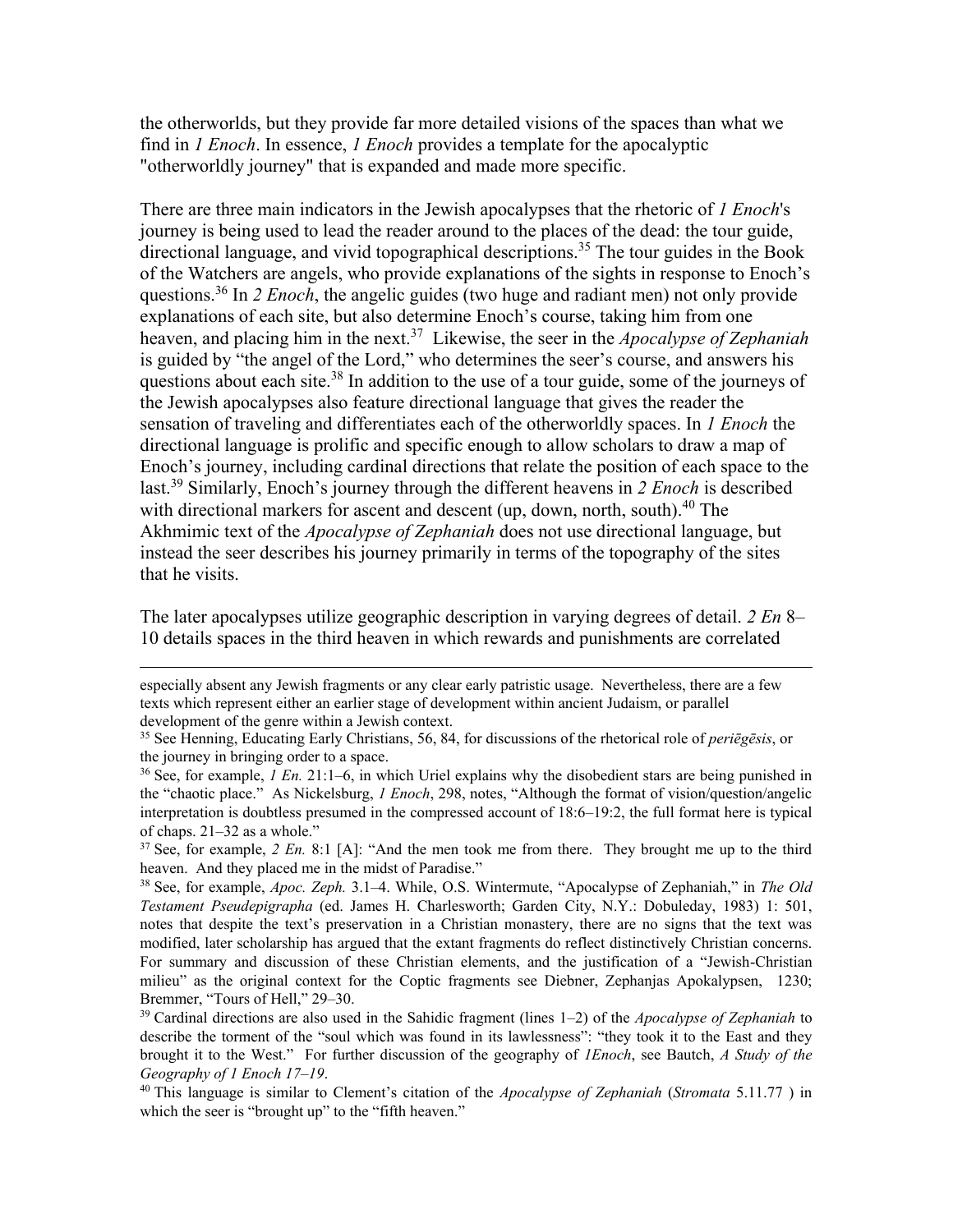the otherworlds, but they provide far more detailed visions of the spaces than what we find in *1 Enoch*. In essence, *1 Enoch* provides a template for the apocalyptic "otherworldly journey" that is expanded and made more specific.

There are three main indicators in the Jewish apocalypses that the rhetoric of *1 Enoch*'s journey is being used to lead the reader around to the places of the dead: the tour guide, directional language, and vivid topographical descriptions.<sup>35</sup> The tour guides in the Book of the Watchers are angels, who provide explanations of the sights in response to Enoch's questions.<sup>36</sup> In *2 Enoch*, the angelic guides (two huge and radiant men) not only provide explanations of each site, but also determine Enoch's course, taking him from one heaven, and placing him in the next.<sup>37</sup> Likewise, the seer in the *Apocalypse of Zephaniah* is guided by "the angel of the Lord," who determines the seer's course, and answers his questions about each site. $38$  In addition to the use of a tour guide, some of the journeys of the Jewish apocalypses also feature directional language that gives the reader the sensation of traveling and differentiates each of the otherworldly spaces. In *1 Enoch* the directional language is prolific and specific enough to allow scholars to draw a map of Enoch's journey, including cardinal directions that relate the position of each space to the last.<sup>39</sup> Similarly, Enoch's journey through the different heavens in *2 Enoch* is described with directional markers for ascent and descent (up, down, north, south).<sup>40</sup> The Akhmimic text of the *Apocalypse of Zephaniah* does not use directional language, but instead the seer describes his journey primarily in terms of the topography of the sites that he visits.

The later apocalypses utilize geographic description in varying degrees of detail. *2 En* 8– 10 details spaces in the third heaven in which rewards and punishments are correlated

especially absent any Jewish fragments or any clear early patristic usage. Nevertheless, there are a few texts which represent either an earlier stage of development within ancient Judaism, or parallel development of the genre within a Jewish context.

 $\overline{a}$ 

<sup>37</sup> See, for example, *2 En.* 8:1 [A]: "And the men took me from there. They brought me up to the third heaven. And they placed me in the midst of Paradise."

<sup>38</sup> See, for example, *Apoc. Zeph.* 3.1–4. While, O.S. Wintermute, "Apocalypse of Zephaniah," in *The Old Testament Pseudepigrapha* (ed. James H. Charlesworth; Garden City, N.Y.: Dobuleday, 1983) 1: 501, notes that despite the text's preservation in a Christian monastery, there are no signs that the text was modified, later scholarship has argued that the extant fragments do reflect distinctively Christian concerns. For summary and discussion of these Christian elements, and the justification of a "Jewish-Christian milieu" as the original context for the Coptic fragments see Diebner, Zephanjas Apokalypsen, 1230; Bremmer, "Tours of Hell," 29–30.

<sup>39</sup> Cardinal directions are also used in the Sahidic fragment (lines 1–2) of the *Apocalypse of Zephaniah* to describe the torment of the "soul which was found in its lawlessness": "they took it to the East and they brought it to the West." For further discussion of the geography of *1Enoch*, see Bautch, *A Study of the Geography of 1 Enoch 17–19*.

<sup>40</sup> This language is similar to Clement's citation of the *Apocalypse of Zephaniah* (*Stromata* 5.11.77 ) in which the seer is "brought up" to the "fifth heaven."

<sup>35</sup> See Henning, Educating Early Christians, 56, 84, for discussions of the rhetorical role of *periēgēsis*, or the journey in bringing order to a space.

<sup>36</sup> See, for example, *1 En.* 21:1–6, in which Uriel explains why the disobedient stars are being punished in the "chaotic place." As Nickelsburg, *1 Enoch*, 298, notes, "Although the format of vision/question/angelic interpretation is doubtless presumed in the compressed account of 18:6–19:2, the full format here is typical of chaps. 21–32 as a whole."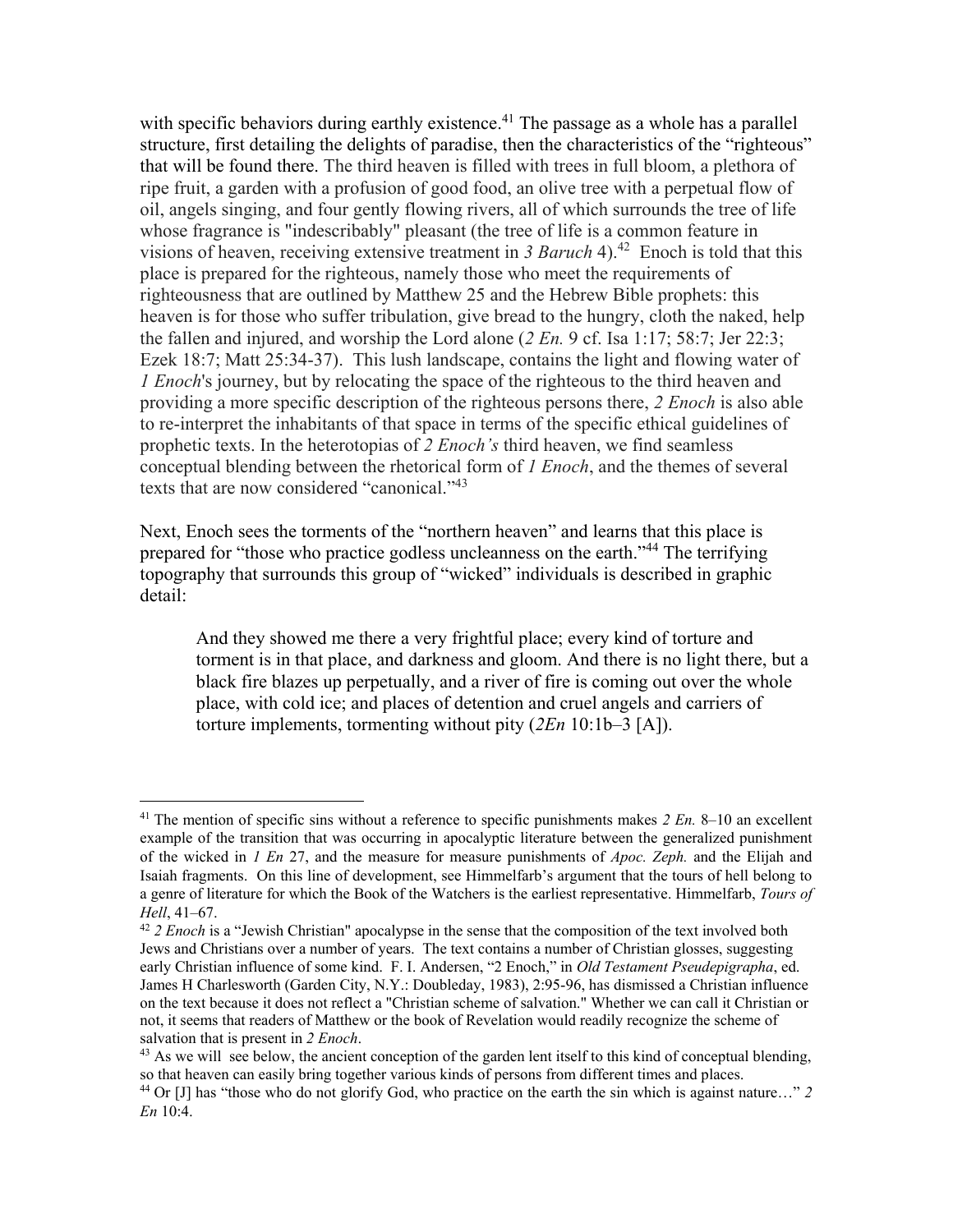with specific behaviors during earthly existence.<sup>41</sup> The passage as a whole has a parallel structure, first detailing the delights of paradise, then the characteristics of the "righteous" that will be found there. The third heaven is filled with trees in full bloom, a plethora of ripe fruit, a garden with a profusion of good food, an olive tree with a perpetual flow of oil, angels singing, and four gently flowing rivers, all of which surrounds the tree of life whose fragrance is "indescribably" pleasant (the tree of life is a common feature in visions of heaven, receiving extensive treatment in 3 Baruch 4).<sup>42</sup> Enoch is told that this place is prepared for the righteous, namely those who meet the requirements of righteousness that are outlined by Matthew 25 and the Hebrew Bible prophets: this heaven is for those who suffer tribulation, give bread to the hungry, cloth the naked, help the fallen and injured, and worship the Lord alone  $(2 En. 9 c f.$  Isa 1:17; 58:7; Jer 22:3; Ezek 18:7; Matt 25:34-37). This lush landscape, contains the light and flowing water of *1 Enoch*'s journey, but by relocating the space of the righteous to the third heaven and providing a more specific description of the righteous persons there, *2 Enoch* is also able to re-interpret the inhabitants of that space in terms of the specific ethical guidelines of prophetic texts. In the heterotopias of *2 Enoch's* third heaven, we find seamless conceptual blending between the rhetorical form of *1 Enoch*, and the themes of several texts that are now considered "canonical."<sup>43</sup>

Next, Enoch sees the torments of the "northern heaven" and learns that this place is prepared for "those who practice godless uncleanness on the earth."<sup>44</sup> The terrifying topography that surrounds this group of "wicked" individuals is described in graphic detail:

And they showed me there a very frightful place; every kind of torture and torment is in that place, and darkness and gloom. And there is no light there, but a black fire blazes up perpetually, and a river of fire is coming out over the whole place, with cold ice; and places of detention and cruel angels and carriers of torture implements, tormenting without pity (*2En* 10:1b–3 [A]).

<sup>41</sup> The mention of specific sins without a reference to specific punishments makes *2 En.* 8–10 an excellent example of the transition that was occurring in apocalyptic literature between the generalized punishment of the wicked in *1 En* 27, and the measure for measure punishments of *Apoc. Zeph.* and the Elijah and Isaiah fragments. On this line of development, see Himmelfarb's argument that the tours of hell belong to a genre of literature for which the Book of the Watchers is the earliest representative. Himmelfarb, *Tours of Hell*, 41–67.

<sup>42</sup> *2 Enoch* is a "Jewish Christian" apocalypse in the sense that the composition of the text involved both Jews and Christians over a number of years. The text contains a number of Christian glosses, suggesting early Christian influence of some kind. F. I. Andersen, "2 Enoch," in *Old Testament Pseudepigrapha*, ed. James H Charlesworth (Garden City, N.Y.: Doubleday, 1983), 2:95-96, has dismissed a Christian influence on the text because it does not reflect a "Christian scheme of salvation." Whether we can call it Christian or not, it seems that readers of Matthew or the book of Revelation would readily recognize the scheme of salvation that is present in *2 Enoch*.

<sup>&</sup>lt;sup>43</sup> As we will see below, the ancient conception of the garden lent itself to this kind of conceptual blending, so that heaven can easily bring together various kinds of persons from different times and places.

<sup>44</sup> Or [J] has "those who do not glorify God, who practice on the earth the sin which is against nature…" *2 En* 10:4.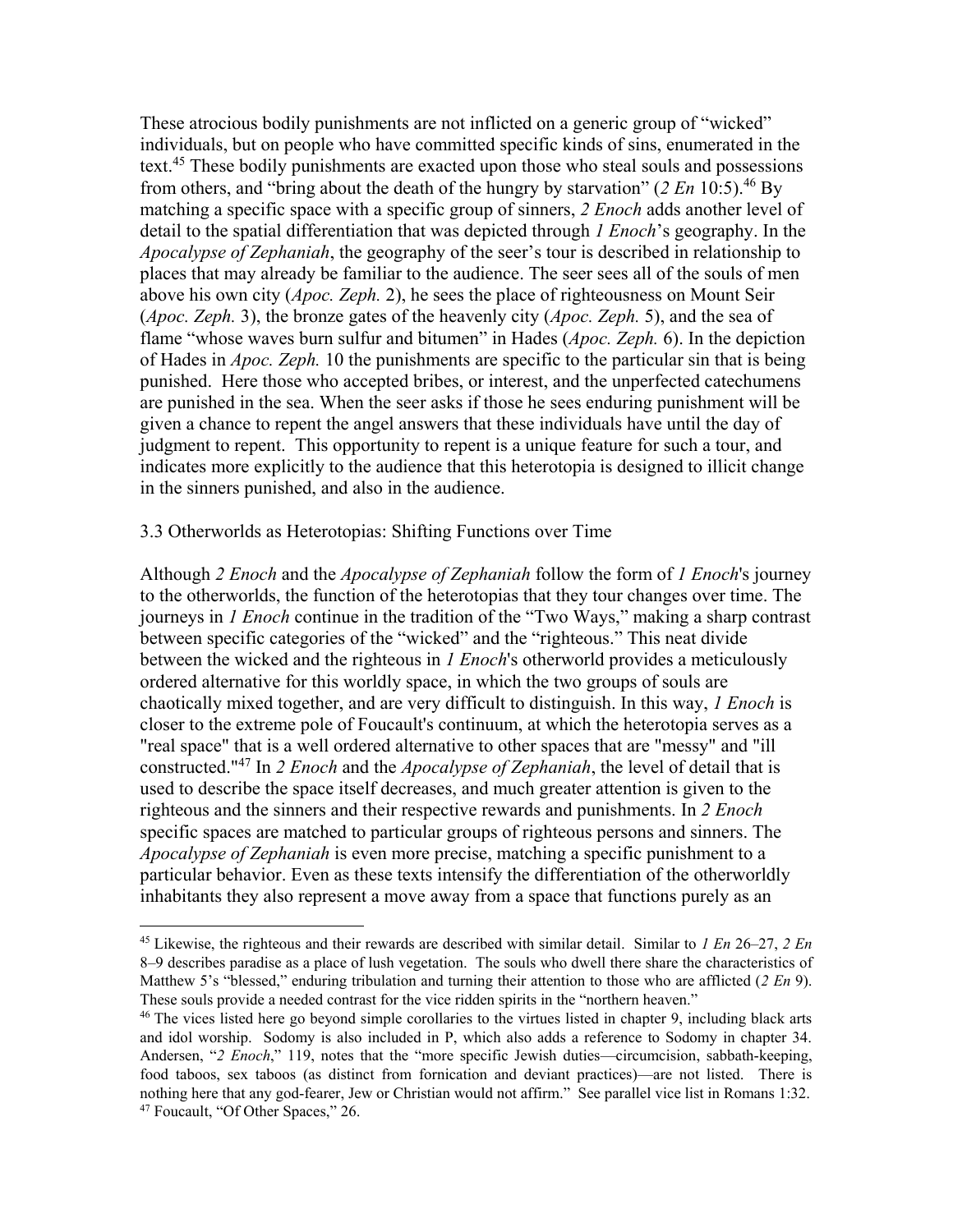These atrocious bodily punishments are not inflicted on a generic group of "wicked" individuals, but on people who have committed specific kinds of sins, enumerated in the text.<sup>45</sup> These bodily punishments are exacted upon those who steal souls and possessions from others, and "bring about the death of the hungry by starvation" (*2 En* 10:5).<sup>46</sup> By matching a specific space with a specific group of sinners, *2 Enoch* adds another level of detail to the spatial differentiation that was depicted through *1 Enoch*'s geography. In the *Apocalypse of Zephaniah*, the geography of the seer's tour is described in relationship to places that may already be familiar to the audience. The seer sees all of the souls of men above his own city (*Apoc. Zeph.* 2), he sees the place of righteousness on Mount Seir (*Apoc. Zeph.* 3), the bronze gates of the heavenly city (*Apoc. Zeph.* 5), and the sea of flame "whose waves burn sulfur and bitumen" in Hades (*Apoc. Zeph.* 6). In the depiction of Hades in *Apoc. Zeph.* 10 the punishments are specific to the particular sin that is being punished. Here those who accepted bribes, or interest, and the unperfected catechumens are punished in the sea. When the seer asks if those he sees enduring punishment will be given a chance to repent the angel answers that these individuals have until the day of judgment to repent. This opportunity to repent is a unique feature for such a tour, and indicates more explicitly to the audience that this heterotopia is designed to illicit change in the sinners punished, and also in the audience.

### 3.3 Otherworlds as Heterotopias: Shifting Functions over Time

 $\overline{a}$ 

Although *2 Enoch* and the *Apocalypse of Zephaniah* follow the form of *1 Enoch*'s journey to the otherworlds, the function of the heterotopias that they tour changes over time. The journeys in *1 Enoch* continue in the tradition of the "Two Ways," making a sharp contrast between specific categories of the "wicked" and the "righteous." This neat divide between the wicked and the righteous in *1 Enoch*'s otherworld provides a meticulously ordered alternative for this worldly space, in which the two groups of souls are chaotically mixed together, and are very difficult to distinguish. In this way, *1 Enoch* is closer to the extreme pole of Foucault's continuum, at which the heterotopia serves as a "real space" that is a well ordered alternative to other spaces that are "messy" and "ill constructed." <sup>47</sup> In *2 Enoch* and the *Apocalypse of Zephaniah*, the level of detail that is used to describe the space itself decreases, and much greater attention is given to the righteous and the sinners and their respective rewards and punishments. In *2 Enoch* specific spaces are matched to particular groups of righteous persons and sinners. The *Apocalypse of Zephaniah* is even more precise, matching a specific punishment to a particular behavior. Even as these texts intensify the differentiation of the otherworldly inhabitants they also represent a move away from a space that functions purely as an

<sup>45</sup> Likewise, the righteous and their rewards are described with similar detail. Similar to *1 En* 26–27, *2 En* 8–9 describes paradise as a place of lush vegetation. The souls who dwell there share the characteristics of Matthew 5's "blessed," enduring tribulation and turning their attention to those who are afflicted (*2 En* 9). These souls provide a needed contrast for the vice ridden spirits in the "northern heaven."

<sup>&</sup>lt;sup>46</sup> The vices listed here go beyond simple corollaries to the virtues listed in chapter 9, including black arts and idol worship. Sodomy is also included in P, which also adds a reference to Sodomy in chapter 34. Andersen, "*2 Enoch*," 119, notes that the "more specific Jewish duties—circumcision, sabbath-keeping, food taboos, sex taboos (as distinct from fornication and deviant practices)—are not listed. There is nothing here that any god-fearer, Jew or Christian would not affirm." See parallel vice list in Romans 1:32. <sup>47</sup> Foucault, "Of Other Spaces," 26.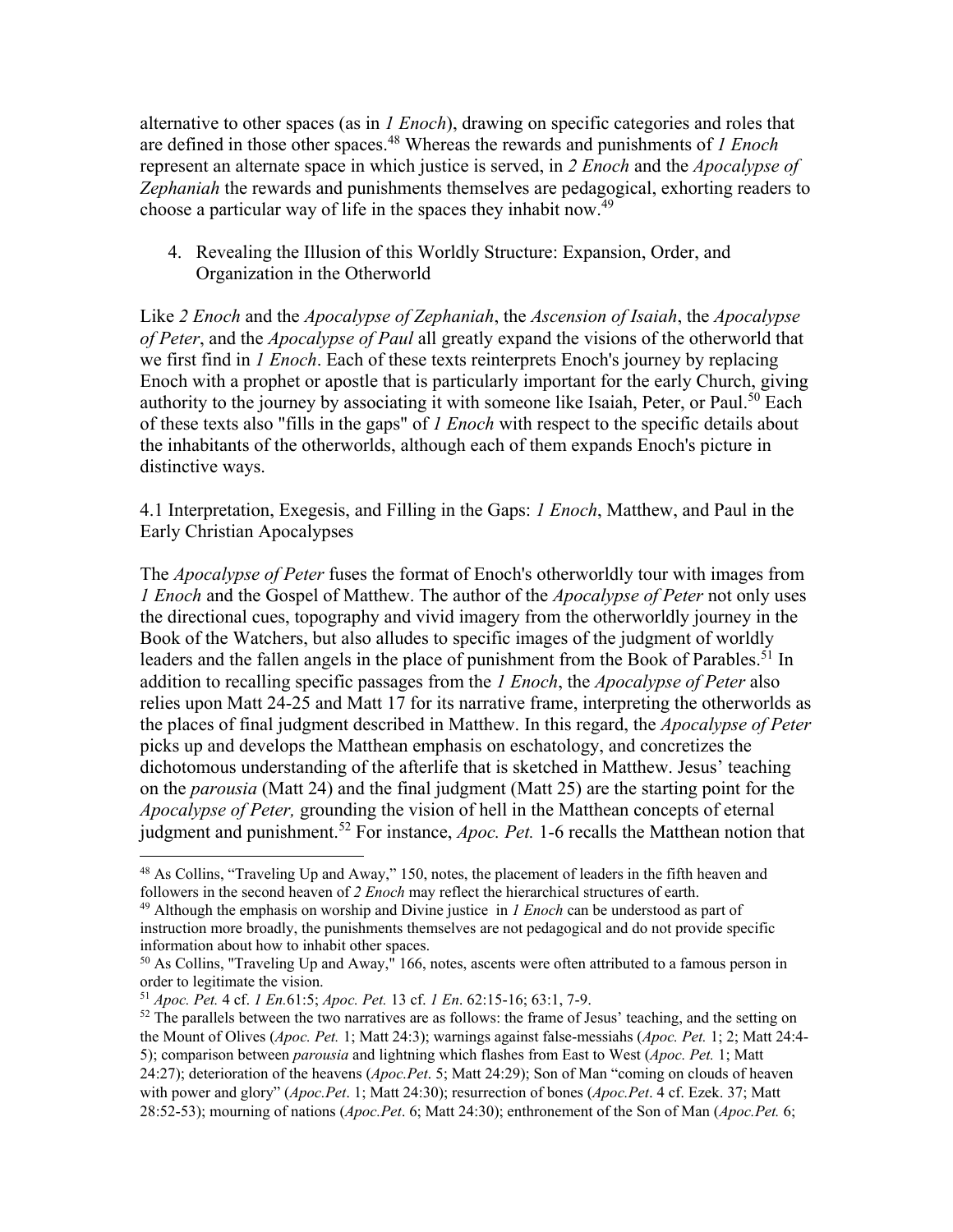alternative to other spaces (as in *1 Enoch*), drawing on specific categories and roles that are defined in those other spaces.<sup>48</sup> Whereas the rewards and punishments of *1 Enoch* represent an alternate space in which justice is served, in *2 Enoch* and the *Apocalypse of Zephaniah* the rewards and punishments themselves are pedagogical, exhorting readers to choose a particular way of life in the spaces they inhabit now.<sup>49</sup>

4. Revealing the Illusion of this Worldly Structure: Expansion, Order, and Organization in the Otherworld

Like *2 Enoch* and the *Apocalypse of Zephaniah*, the *Ascension of Isaiah*, the *Apocalypse of Peter*, and the *Apocalypse of Paul* all greatly expand the visions of the otherworld that we first find in *1 Enoch*. Each of these texts reinterprets Enoch's journey by replacing Enoch with a prophet or apostle that is particularly important for the early Church, giving authority to the journey by associating it with someone like Isaiah, Peter, or Paul.<sup>50</sup> Each of these texts also "fills in the gaps" of *1 Enoch* with respect to the specific details about the inhabitants of the otherworlds, although each of them expands Enoch's picture in distinctive ways.

4.1 Interpretation, Exegesis, and Filling in the Gaps: *1 Enoch*, Matthew, and Paul in the Early Christian Apocalypses

The *Apocalypse of Peter* fuses the format of Enoch's otherworldly tour with images from *1 Enoch* and the Gospel of Matthew. The author of the *Apocalypse of Peter* not only uses the directional cues, topography and vivid imagery from the otherworldly journey in the Book of the Watchers, but also alludes to specific images of the judgment of worldly leaders and the fallen angels in the place of punishment from the Book of Parables.<sup>51</sup> In addition to recalling specific passages from the *1 Enoch*, the *Apocalypse of Peter* also relies upon Matt 24-25 and Matt 17 for its narrative frame, interpreting the otherworlds as the places of final judgment described in Matthew. In this regard, the *Apocalypse of Peter* picks up and develops the Matthean emphasis on eschatology, and concretizes the dichotomous understanding of the afterlife that is sketched in Matthew. Jesus' teaching on the *parousia* (Matt 24) and the final judgment (Matt 25) are the starting point for the *Apocalypse of Peter,* grounding the vision of hell in the Matthean concepts of eternal judgment and punishment.<sup>52</sup> For instance, *Apoc. Pet.* 1-6 recalls the Matthean notion that

<sup>&</sup>lt;sup>48</sup> As Collins, "Traveling Up and Away," 150, notes, the placement of leaders in the fifth heaven and followers in the second heaven of *2 Enoch* may reflect the hierarchical structures of earth.

<sup>49</sup> Although the emphasis on worship and Divine justice in *1 Enoch* can be understood as part of instruction more broadly, the punishments themselves are not pedagogical and do not provide specific information about how to inhabit other spaces.

 $50$  As Collins, "Traveling Up and Away," 166, notes, ascents were often attributed to a famous person in order to legitimate the vision.

<sup>51</sup> *Apoc. Pet.* 4 cf. *1 En.*61:5; *Apoc. Pet.* 13 cf. *1 En*. 62:15-16; 63:1, 7-9.

 $52$  The parallels between the two narratives are as follows: the frame of Jesus' teaching, and the setting on the Mount of Olives (*Apoc. Pet.* 1; Matt 24:3); warnings against false-messiahs (*Apoc. Pet.* 1; 2; Matt 24:4- 5); comparison between *parousia* and lightning which flashes from East to West (*Apoc. Pet.* 1; Matt 24:27); deterioration of the heavens (*Apoc.Pet*. 5; Matt 24:29); Son of Man "coming on clouds of heaven with power and glory" (*Apoc.Pet*. 1; Matt 24:30); resurrection of bones (*Apoc.Pet*. 4 cf. Ezek. 37; Matt 28:52-53); mourning of nations (*Apoc.Pet*. 6; Matt 24:30); enthronement of the Son of Man (*Apoc.Pet.* 6;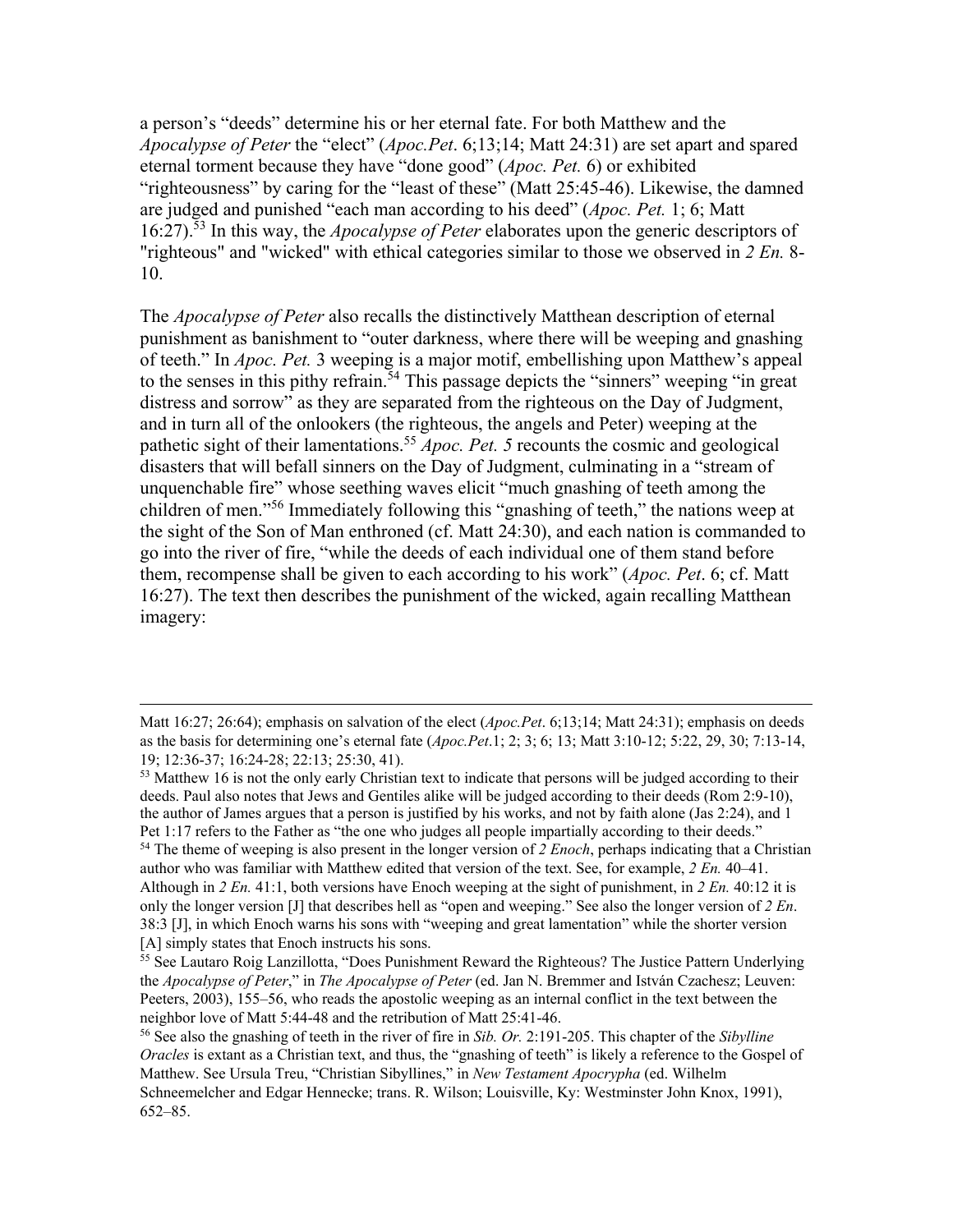a person's "deeds" determine his or her eternal fate. For both Matthew and the *Apocalypse of Peter* the "elect" (*Apoc.Pet*. 6;13;14; Matt 24:31) are set apart and spared eternal torment because they have "done good" (*Apoc. Pet.* 6) or exhibited "righteousness" by caring for the "least of these" (Matt 25:45-46). Likewise, the damned are judged and punished "each man according to his deed" (*Apoc. Pet.* 1; 6; Matt 16:27).<sup>53</sup> In this way, the *Apocalypse of Peter* elaborates upon the generic descriptors of "righteous" and "wicked" with ethical categories similar to those we observed in *2 En.* 8- 10.

The *Apocalypse of Peter* also recalls the distinctively Matthean description of eternal punishment as banishment to "outer darkness, where there will be weeping and gnashing of teeth." In *Apoc. Pet.* 3 weeping is a major motif, embellishing upon Matthew's appeal to the senses in this pithy refrain.<sup>54</sup> This passage depicts the "sinners" weeping "in great distress and sorrow" as they are separated from the righteous on the Day of Judgment, and in turn all of the onlookers (the righteous, the angels and Peter) weeping at the pathetic sight of their lamentations.<sup>55</sup> *Apoc. Pet.* 5 recounts the cosmic and geological disasters that will befall sinners on the Day of Judgment, culminating in a "stream of unquenchable fire" whose seething waves elicit "much gnashing of teeth among the children of men."<sup>56</sup> Immediately following this "gnashing of teeth," the nations weep at the sight of the Son of Man enthroned (cf. Matt 24:30), and each nation is commanded to go into the river of fire, "while the deeds of each individual one of them stand before them, recompense shall be given to each according to his work" (*Apoc. Pet*. 6; cf. Matt 16:27). The text then describes the punishment of the wicked, again recalling Matthean imagery:

Matt 16:27; 26:64); emphasis on salvation of the elect (*Apoc.Pet*. 6;13;14; Matt 24:31); emphasis on deeds as the basis for determining one's eternal fate (*Apoc.Pet*.1; 2; 3; 6; 13; Matt 3:10-12; 5:22, 29, 30; 7:13-14, 19; 12:36-37; 16:24-28; 22:13; 25:30, 41).

<sup>&</sup>lt;sup>53</sup> Matthew 16 is not the only early Christian text to indicate that persons will be judged according to their deeds. Paul also notes that Jews and Gentiles alike will be judged according to their deeds (Rom 2:9-10), the author of James argues that a person is justified by his works, and not by faith alone (Jas 2:24), and 1 Pet 1:17 refers to the Father as "the one who judges all people impartially according to their deeds." <sup>54</sup> The theme of weeping is also present in the longer version of *2 Enoch*, perhaps indicating that a Christian author who was familiar with Matthew edited that version of the text. See, for example, *2 En.* 40–41. Although in *2 En.* 41:1, both versions have Enoch weeping at the sight of punishment, in *2 En.* 40:12 it is only the longer version [J] that describes hell as "open and weeping." See also the longer version of *2 En*. 38:3 [J], in which Enoch warns his sons with "weeping and great lamentation" while the shorter version

<sup>[</sup>A] simply states that Enoch instructs his sons.

<sup>&</sup>lt;sup>55</sup> See Lautaro Roig Lanzillotta, "Does Punishment Reward the Righteous? The Justice Pattern Underlying the *Apocalypse of Peter*," in *The Apocalypse of Peter* (ed. Jan N. Bremmer and István Czachesz; Leuven: Peeters, 2003), 155–56, who reads the apostolic weeping as an internal conflict in the text between the neighbor love of Matt 5:44-48 and the retribution of Matt 25:41-46.

<sup>56</sup> See also the gnashing of teeth in the river of fire in *Sib. Or.* 2:191-205. This chapter of the *Sibylline Oracles* is extant as a Christian text, and thus, the "gnashing of teeth" is likely a reference to the Gospel of Matthew. See Ursula Treu, "Christian Sibyllines," in *New Testament Apocrypha* (ed. Wilhelm Schneemelcher and Edgar Hennecke; trans. R. Wilson; Louisville, Ky: Westminster John Knox, 1991), 652–85.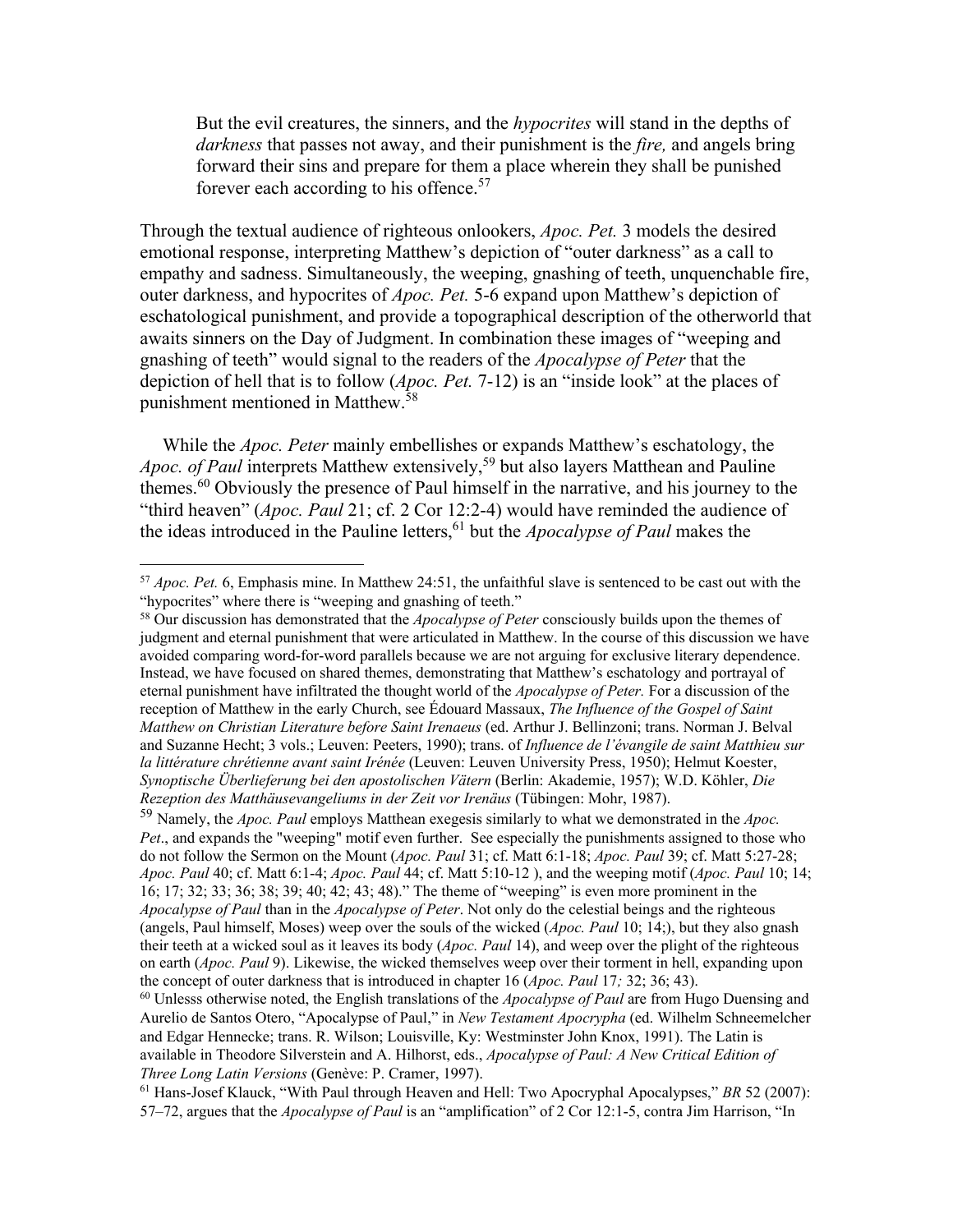But the evil creatures, the sinners, and the *hypocrites* will stand in the depths of *darkness* that passes not away, and their punishment is the *fire,* and angels bring forward their sins and prepare for them a place wherein they shall be punished forever each according to his offence.<sup>57</sup>

Through the textual audience of righteous onlookers, *Apoc. Pet.* 3 models the desired emotional response, interpreting Matthew's depiction of "outer darkness" as a call to empathy and sadness. Simultaneously, the weeping, gnashing of teeth, unquenchable fire, outer darkness, and hypocrites of *Apoc. Pet.* 5-6 expand upon Matthew's depiction of eschatological punishment, and provide a topographical description of the otherworld that awaits sinners on the Day of Judgment. In combination these images of "weeping and gnashing of teeth" would signal to the readers of the *Apocalypse of Peter* that the depiction of hell that is to follow (*Apoc. Pet.* 7-12) is an "inside look" at the places of punishment mentioned in Matthew.<sup>58</sup>

While the *Apoc. Peter* mainly embellishes or expands Matthew's eschatology, the *Apoc. of Paul* interprets Matthew extensively,<sup>59</sup> but also layers Matthean and Pauline themes.<sup>60</sup> Obviously the presence of Paul himself in the narrative, and his journey to the "third heaven" (*Apoc. Paul* 21; cf. 2 Cor 12:2-4) would have reminded the audience of the ideas introduced in the Pauline letters,<sup>61</sup> but the *Apocalypse of Paul* makes the

l

<sup>59</sup> Namely, the *Apoc. Paul* employs Matthean exegesis similarly to what we demonstrated in the *Apoc. Pet*., and expands the "weeping" motif even further. See especially the punishments assigned to those who do not follow the Sermon on the Mount (*Apoc. Paul* 31; cf. Matt 6:1-18; *Apoc. Paul* 39; cf. Matt 5:27-28; *Apoc. Paul* 40; cf. Matt 6:1-4; *Apoc. Paul* 44; cf. Matt 5:10-12 ), and the weeping motif (*Apoc. Paul* 10; 14; 16; 17; 32; 33; 36; 38; 39; 40; 42; 43; 48)." The theme of "weeping" is even more prominent in the *Apocalypse of Paul* than in the *Apocalypse of Peter*. Not only do the celestial beings and the righteous (angels, Paul himself, Moses) weep over the souls of the wicked (*Apoc. Paul* 10; 14;), but they also gnash their teeth at a wicked soul as it leaves its body (*Apoc. Paul* 14), and weep over the plight of the righteous on earth (*Apoc. Paul* 9). Likewise, the wicked themselves weep over their torment in hell, expanding upon the concept of outer darkness that is introduced in chapter 16 (*Apoc. Paul* 17*;* 32; 36; 43).

<sup>60</sup> Unlesss otherwise noted, the English translations of the *Apocalypse of Paul* are from Hugo Duensing and Aurelio de Santos Otero, "Apocalypse of Paul," in *New Testament Apocrypha* (ed. Wilhelm Schneemelcher and Edgar Hennecke; trans. R. Wilson; Louisville, Ky: Westminster John Knox, 1991). The Latin is available in Theodore Silverstein and A. Hilhorst, eds., *Apocalypse of Paul: A New Critical Edition of Three Long Latin Versions* (Genève: P. Cramer, 1997).

<sup>61</sup> Hans-Josef Klauck, "With Paul through Heaven and Hell: Two Apocryphal Apocalypses," *BR* 52 (2007): 57–72, argues that the *Apocalypse of Paul* is an "amplification" of 2 Cor 12:1-5, contra Jim Harrison, "In

<sup>57</sup> *Apoc. Pet.* 6, Emphasis mine. In Matthew 24:51, the unfaithful slave is sentenced to be cast out with the "hypocrites" where there is "weeping and gnashing of teeth."

<sup>58</sup> Our discussion has demonstrated that the *Apocalypse of Peter* consciously builds upon the themes of judgment and eternal punishment that were articulated in Matthew. In the course of this discussion we have avoided comparing word-for-word parallels because we are not arguing for exclusive literary dependence. Instead, we have focused on shared themes, demonstrating that Matthew's eschatology and portrayal of eternal punishment have infiltrated the thought world of the *Apocalypse of Peter.* For a discussion of the reception of Matthew in the early Church, see Édouard Massaux, *The Influence of the Gospel of Saint Matthew on Christian Literature before Saint Irenaeus* (ed. Arthur J. Bellinzoni; trans. Norman J. Belval and Suzanne Hecht; 3 vols.; Leuven: Peeters, 1990); trans. of *Influence de l'évangile de saint Matthieu sur la littérature chrétienne avant saint Irénée* (Leuven: Leuven University Press, 1950); Helmut Koester, *Synoptische Überlieferung bei den apostolischen Vätern* (Berlin: Akademie, 1957); W.D. Köhler, *Die Rezeption des Matthäusevangeliums in der Zeit vor Irenäus* (Tübingen: Mohr, 1987).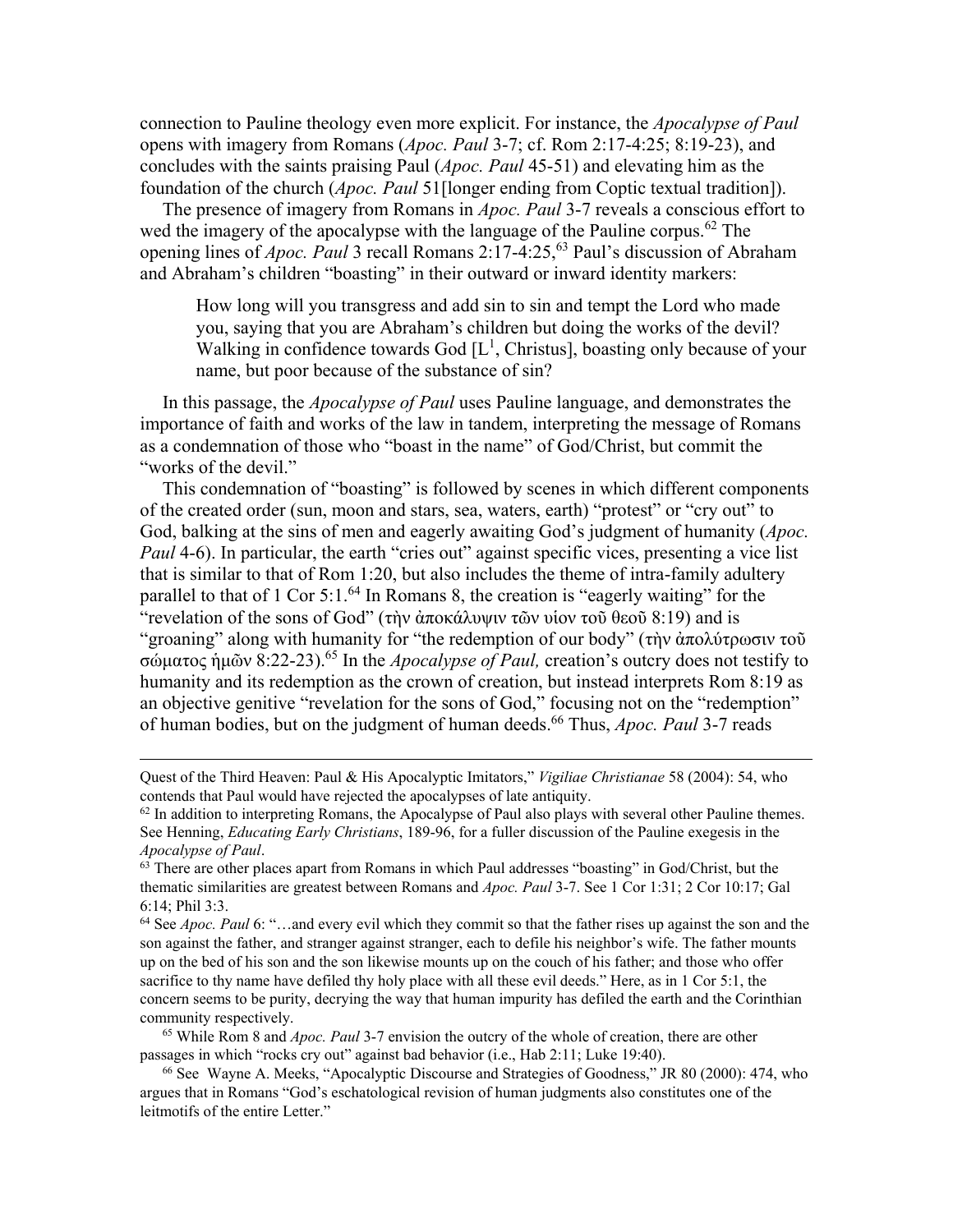connection to Pauline theology even more explicit. For instance, the *Apocalypse of Paul* opens with imagery from Romans (*Apoc. Paul* 3-7; cf. Rom 2:17-4:25; 8:19-23), and concludes with the saints praising Paul (*Apoc. Paul* 45-51) and elevating him as the foundation of the church (*Apoc. Paul* 51[longer ending from Coptic textual tradition]).

The presence of imagery from Romans in *Apoc. Paul* 3-7 reveals a conscious effort to wed the imagery of the apocalypse with the language of the Pauline corpus.<sup>62</sup> The opening lines of *Apoc. Paul* 3 recall Romans 2:17-4:25,<sup>63</sup> Paul's discussion of Abraham and Abraham's children "boasting" in their outward or inward identity markers:

How long will you transgress and add sin to sin and tempt the Lord who made you, saying that you are Abraham's children but doing the works of the devil? Walking in confidence towards God  $[L^1]$ , Christus, boasting only because of your name, but poor because of the substance of sin?

In this passage, the *Apocalypse of Paul* uses Pauline language, and demonstrates the importance of faith and works of the law in tandem, interpreting the message of Romans as a condemnation of those who "boast in the name" of God/Christ, but commit the "works of the devil."

This condemnation of "boasting" is followed by scenes in which different components of the created order (sun, moon and stars, sea, waters, earth) "protest" or "cry out" to God, balking at the sins of men and eagerly awaiting God's judgment of humanity (*Apoc. Paul* 4-6). In particular, the earth "cries out" against specific vices, presenting a vice list that is similar to that of Rom 1:20, but also includes the theme of intra-family adultery parallel to that of 1 Cor  $5:1.^{64}$  In Romans 8, the creation is "eagerly waiting" for the "revelation of the sons of God" (τὴν ἀποκάλυψιν τῶν υἱον τοῦ θεοῦ 8:19) and is "groaning" along with humanity for "the redemption of our body" (τὴν ἀπολύτρωσιν τοῦ σώματος ἡμῶν 8:22-23).<sup>65</sup> In the *Apocalypse of Paul,* creation's outcry does not testify to humanity and its redemption as the crown of creation, but instead interprets Rom 8:19 as an objective genitive "revelation for the sons of God," focusing not on the "redemption" of human bodies, but on the judgment of human deeds.<sup>66</sup> Thus, *Apoc. Paul* 3-7 reads

Quest of the Third Heaven: Paul & His Apocalyptic Imitators," *Vigiliae Christianae* 58 (2004): 54, who contends that Paul would have rejected the apocalypses of late antiquity.

 $62$  In addition to interpreting Romans, the Apocalypse of Paul also plays with several other Pauline themes. See Henning, *Educating Early Christians*, 189-96, for a fuller discussion of the Pauline exegesis in the *Apocalypse of Paul*.

 $63$  There are other places apart from Romans in which Paul addresses "boasting" in God/Christ, but the thematic similarities are greatest between Romans and *Apoc. Paul* 3-7. See 1 Cor 1:31; 2 Cor 10:17; Gal 6:14; Phil 3:3.

<sup>64</sup> See *Apoc. Paul* 6: "…and every evil which they commit so that the father rises up against the son and the son against the father, and stranger against stranger, each to defile his neighbor's wife. The father mounts up on the bed of his son and the son likewise mounts up on the couch of his father; and those who offer sacrifice to thy name have defiled thy holy place with all these evil deeds." Here, as in 1 Cor 5:1, the concern seems to be purity, decrying the way that human impurity has defiled the earth and the Corinthian community respectively.

<sup>65</sup> While Rom 8 and *Apoc. Paul* 3-7 envision the outcry of the whole of creation, there are other passages in which "rocks cry out" against bad behavior (i.e., Hab 2:11; Luke 19:40).

<sup>66</sup> See Wayne A. Meeks, "Apocalyptic Discourse and Strategies of Goodness," JR 80 (2000): 474, who argues that in Romans "God's eschatological revision of human judgments also constitutes one of the leitmotifs of the entire Letter."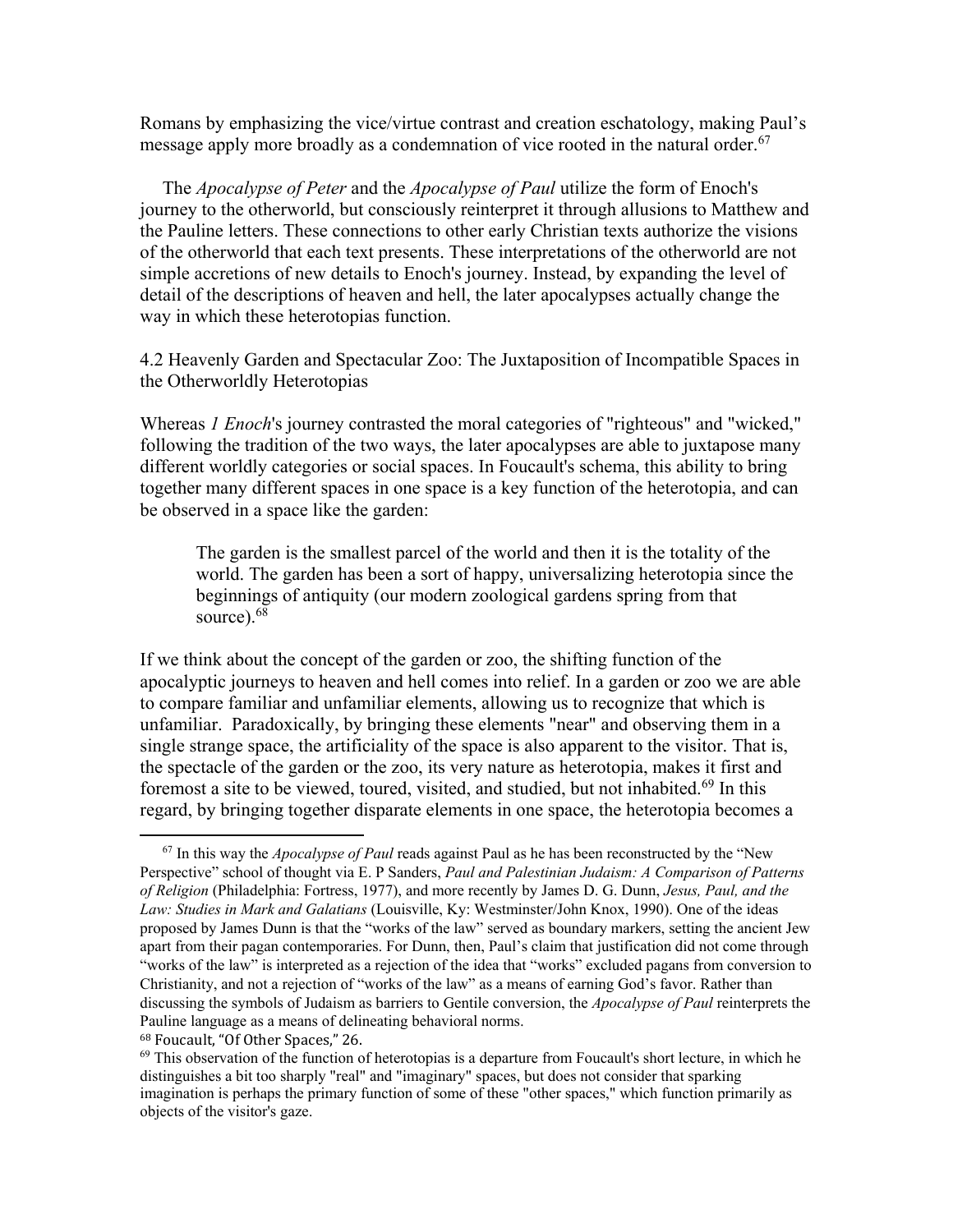Romans by emphasizing the vice/virtue contrast and creation eschatology, making Paul's message apply more broadly as a condemnation of vice rooted in the natural order.<sup>67</sup>

The *Apocalypse of Peter* and the *Apocalypse of Paul* utilize the form of Enoch's journey to the otherworld, but consciously reinterpret it through allusions to Matthew and the Pauline letters. These connections to other early Christian texts authorize the visions of the otherworld that each text presents. These interpretations of the otherworld are not simple accretions of new details to Enoch's journey. Instead, by expanding the level of detail of the descriptions of heaven and hell, the later apocalypses actually change the way in which these heterotopias function.

4.2 Heavenly Garden and Spectacular Zoo: The Juxtaposition of Incompatible Spaces in the Otherworldly Heterotopias

Whereas *1 Enoch*'s journey contrasted the moral categories of "righteous" and "wicked," following the tradition of the two ways, the later apocalypses are able to juxtapose many different worldly categories or social spaces. In Foucault's schema, this ability to bring together many different spaces in one space is a key function of the heterotopia, and can be observed in a space like the garden:

The garden is the smallest parcel of the world and then it is the totality of the world. The garden has been a sort of happy, universalizing heterotopia since the beginnings of antiquity (our modern zoological gardens spring from that source). $6\overline{8}$ 

If we think about the concept of the garden or zoo, the shifting function of the apocalyptic journeys to heaven and hell comes into relief. In a garden or zoo we are able to compare familiar and unfamiliar elements, allowing us to recognize that which is unfamiliar. Paradoxically, by bringing these elements "near" and observing them in a single strange space, the artificiality of the space is also apparent to the visitor. That is, the spectacle of the garden or the zoo, its very nature as heterotopia, makes it first and foremost a site to be viewed, toured, visited, and studied, but not inhabited.<sup>69</sup> In this regard, by bringing together disparate elements in one space, the heterotopia becomes a

<sup>67</sup> In this way the *Apocalypse of Paul* reads against Paul as he has been reconstructed by the "New Perspective" school of thought via E. P Sanders, *Paul and Palestinian Judaism: A Comparison of Patterns of Religion* (Philadelphia: Fortress, 1977), and more recently by James D. G. Dunn, *Jesus, Paul, and the Law: Studies in Mark and Galatians* (Louisville, Ky: Westminster/John Knox, 1990). One of the ideas proposed by James Dunn is that the "works of the law" served as boundary markers, setting the ancient Jew apart from their pagan contemporaries. For Dunn, then, Paul's claim that justification did not come through "works of the law" is interpreted as a rejection of the idea that "works" excluded pagans from conversion to Christianity, and not a rejection of "works of the law" as a means of earning God's favor. Rather than discussing the symbols of Judaism as barriers to Gentile conversion, the *Apocalypse of Paul* reinterprets the Pauline language as a means of delineating behavioral norms.

<sup>68</sup> Foucault, "Of Other Spaces," 26.

 $69$  This observation of the function of heterotopias is a departure from Foucault's short lecture, in which he distinguishes a bit too sharply "real" and "imaginary" spaces, but does not consider that sparking imagination is perhaps the primary function of some of these "other spaces," which function primarily as objects of the visitor's gaze.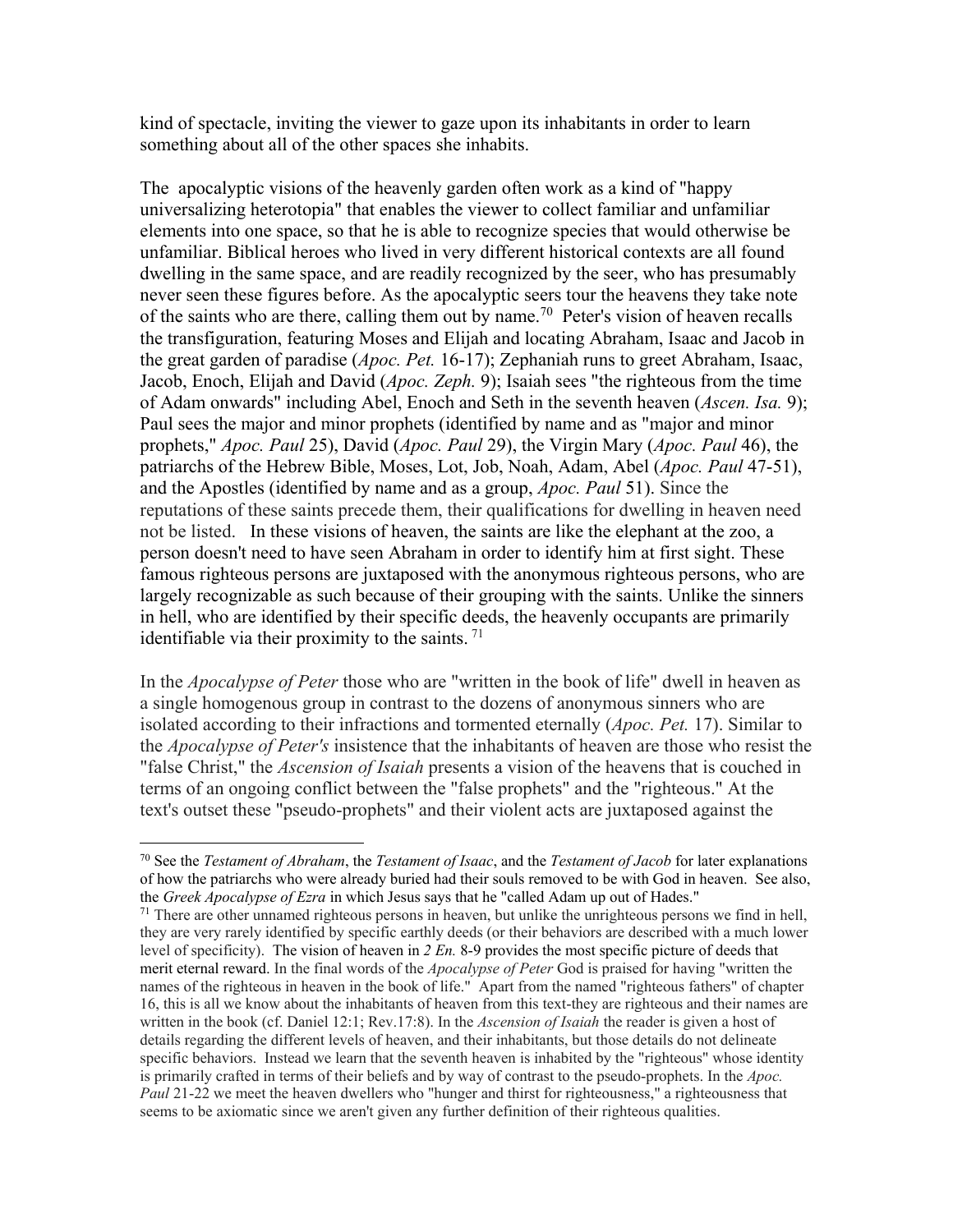kind of spectacle, inviting the viewer to gaze upon its inhabitants in order to learn something about all of the other spaces she inhabits.

The apocalyptic visions of the heavenly garden often work as a kind of "happy universalizing heterotopia" that enables the viewer to collect familiar and unfamiliar elements into one space, so that he is able to recognize species that would otherwise be unfamiliar. Biblical heroes who lived in very different historical contexts are all found dwelling in the same space, and are readily recognized by the seer, who has presumably never seen these figures before. As the apocalyptic seers tour the heavens they take note of the saints who are there, calling them out by name.<sup>70</sup> Peter's vision of heaven recalls the transfiguration, featuring Moses and Elijah and locating Abraham, Isaac and Jacob in the great garden of paradise (*Apoc. Pet.* 16-17); Zephaniah runs to greet Abraham, Isaac, Jacob, Enoch, Elijah and David (*Apoc. Zeph.* 9); Isaiah sees "the righteous from the time of Adam onwards" including Abel, Enoch and Seth in the seventh heaven (*Ascen. Isa.* 9); Paul sees the major and minor prophets (identified by name and as "major and minor prophets," *Apoc. Paul* 25), David (*Apoc. Paul* 29), the Virgin Mary (*Apoc. Paul* 46), the patriarchs of the Hebrew Bible, Moses, Lot, Job, Noah, Adam, Abel (*Apoc. Paul* 47-51), and the Apostles (identified by name and as a group, *Apoc. Paul* 51). Since the reputations of these saints precede them, their qualifications for dwelling in heaven need not be listed. In these visions of heaven, the saints are like the elephant at the zoo, a person doesn't need to have seen Abraham in order to identify him at first sight. These famous righteous persons are juxtaposed with the anonymous righteous persons, who are largely recognizable as such because of their grouping with the saints. Unlike the sinners in hell, who are identified by their specific deeds, the heavenly occupants are primarily identifiable via their proximity to the saints.  $71$ 

In the *Apocalypse of Peter* those who are "written in the book of life" dwell in heaven as a single homogenous group in contrast to the dozens of anonymous sinners who are isolated according to their infractions and tormented eternally (*Apoc. Pet.* 17). Similar to the *Apocalypse of Peter's* insistence that the inhabitants of heaven are those who resist the "false Christ," the *Ascension of Isaiah* presents a vision of the heavens that is couched in terms of an ongoing conflict between the "false prophets" and the "righteous." At the text's outset these "pseudo-prophets" and their violent acts are juxtaposed against the

<sup>70</sup> See the *Testament of Abraham*, the *Testament of Isaac*, and the *Testament of Jacob* for later explanations of how the patriarchs who were already buried had their souls removed to be with God in heaven. See also, the *Greek Apocalypse of Ezra* in which Jesus says that he "called Adam up out of Hades."

 $71$  There are other unnamed righteous persons in heaven, but unlike the unrighteous persons we find in hell, they are very rarely identified by specific earthly deeds (or their behaviors are described with a much lower level of specificity). The vision of heaven in *2 En.* 8-9 provides the most specific picture of deeds that merit eternal reward. In the final words of the *Apocalypse of Peter* God is praised for having "written the names of the righteous in heaven in the book of life." Apart from the named "righteous fathers" of chapter 16, this is all we know about the inhabitants of heaven from this text-they are righteous and their names are written in the book (cf. Daniel 12:1; Rev.17:8). In the *Ascension of Isaiah* the reader is given a host of details regarding the different levels of heaven, and their inhabitants, but those details do not delineate specific behaviors. Instead we learn that the seventh heaven is inhabited by the "righteous" whose identity is primarily crafted in terms of their beliefs and by way of contrast to the pseudo-prophets. In the *Apoc. Paul* 21-22 we meet the heaven dwellers who "hunger and thirst for righteousness," a righteousness that seems to be axiomatic since we aren't given any further definition of their righteous qualities.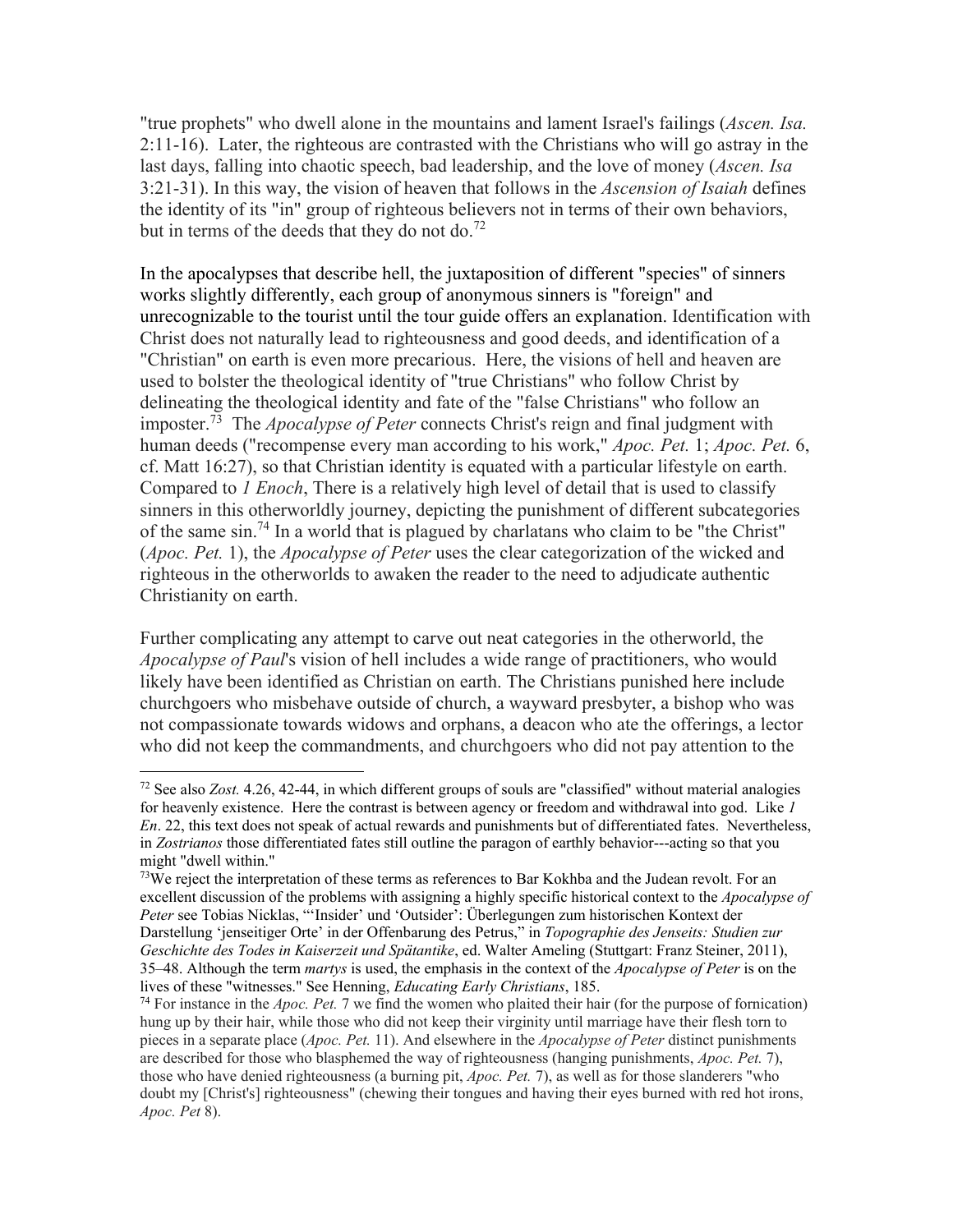"true prophets" who dwell alone in the mountains and lament Israel's failings (*Ascen. Isa.* 2:11-16). Later, the righteous are contrasted with the Christians who will go astray in the last days, falling into chaotic speech, bad leadership, and the love of money (*Ascen. Isa* 3:21-31). In this way, the vision of heaven that follows in the *Ascension of Isaiah* defines the identity of its "in" group of righteous believers not in terms of their own behaviors, but in terms of the deeds that they do not do.<sup>72</sup>

In the apocalypses that describe hell, the juxtaposition of different "species" of sinners works slightly differently, each group of anonymous sinners is "foreign" and unrecognizable to the tourist until the tour guide offers an explanation. Identification with Christ does not naturally lead to righteousness and good deeds, and identification of a "Christian" on earth is even more precarious. Here, the visions of hell and heaven are used to bolster the theological identity of "true Christians" who follow Christ by delineating the theological identity and fate of the "false Christians" who follow an imposter.<sup>73</sup> The *Apocalypse of Peter* connects Christ's reign and final judgment with human deeds ("recompense every man according to his work," *Apoc. Pet.* 1; *Apoc. Pet.* 6, cf. Matt 16:27), so that Christian identity is equated with a particular lifestyle on earth. Compared to *1 Enoch*, There is a relatively high level of detail that is used to classify sinners in this otherworldly journey, depicting the punishment of different subcategories of the same sin.<sup>74</sup> In a world that is plagued by charlatans who claim to be "the Christ" (*Apoc. Pet.* 1), the *Apocalypse of Peter* uses the clear categorization of the wicked and righteous in the otherworlds to awaken the reader to the need to adjudicate authentic Christianity on earth.

Further complicating any attempt to carve out neat categories in the otherworld, the *Apocalypse of Paul*'s vision of hell includes a wide range of practitioners, who would likely have been identified as Christian on earth. The Christians punished here include churchgoers who misbehave outside of church, a wayward presbyter, a bishop who was not compassionate towards widows and orphans, a deacon who ate the offerings, a lector who did not keep the commandments, and churchgoers who did not pay attention to the

 $72$  See also *Zost.* 4.26, 42-44, in which different groups of souls are "classified" without material analogies for heavenly existence. Here the contrast is between agency or freedom and withdrawal into god. Like *1 En*. 22, this text does not speak of actual rewards and punishments but of differentiated fates. Nevertheless, in *Zostrianos* those differentiated fates still outline the paragon of earthly behavior---acting so that you might "dwell within."

 $73$ We reject the interpretation of these terms as references to Bar Kokhba and the Judean revolt. For an excellent discussion of the problems with assigning a highly specific historical context to the *Apocalypse of Peter* see Tobias Nicklas, "'Insider' und 'Outsider': Überlegungen zum historischen Kontext der Darstellung 'jenseitiger Orte' in der Offenbarung des Petrus," in *Topographie des Jenseits: Studien zur Geschichte des Todes in Kaiserzeit und Spätantike*, ed. Walter Ameling (Stuttgart: Franz Steiner, 2011), 35–48. Although the term *martys* is used, the emphasis in the context of the *Apocalypse of Peter* is on the lives of these "witnesses." See Henning, *Educating Early Christians*, 185.

<sup>74</sup> For instance in the *Apoc. Pet.* 7 we find the women who plaited their hair (for the purpose of fornication) hung up by their hair, while those who did not keep their virginity until marriage have their flesh torn to pieces in a separate place (*Apoc. Pet.* 11). And elsewhere in the *Apocalypse of Peter* distinct punishments are described for those who blasphemed the way of righteousness (hanging punishments, *Apoc. Pet.* 7), those who have denied righteousness (a burning pit, *Apoc. Pet.* 7), as well as for those slanderers "who doubt my [Christ's] righteousness" (chewing their tongues and having their eyes burned with red hot irons, *Apoc. Pet* 8).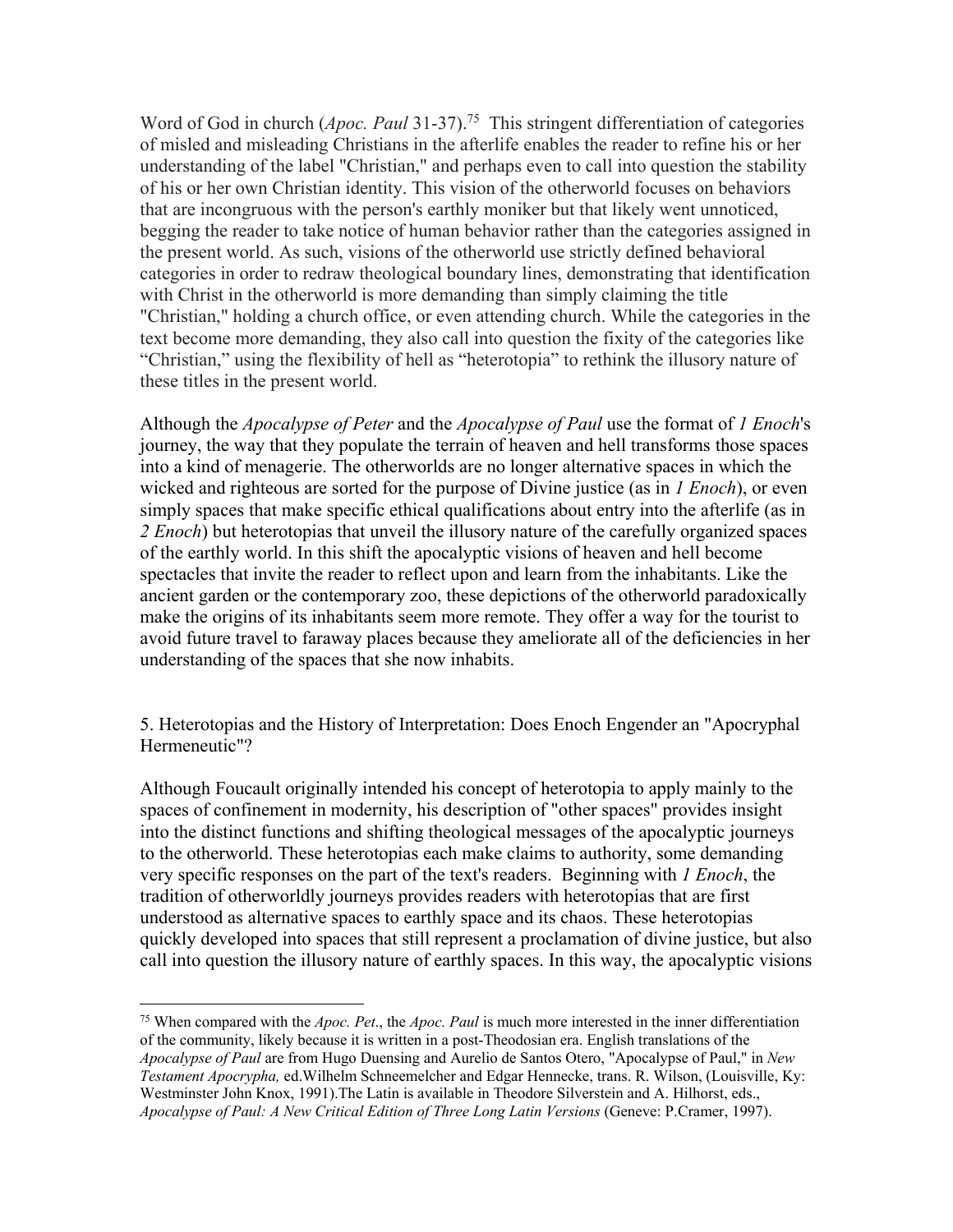Word of God in church (*Apoc. Paul* 31-37).<sup>75</sup> This stringent differentiation of categories of misled and misleading Christians in the afterlife enables the reader to refine his or her understanding of the label "Christian," and perhaps even to call into question the stability of his or her own Christian identity. This vision of the otherworld focuses on behaviors that are incongruous with the person's earthly moniker but that likely went unnoticed, begging the reader to take notice of human behavior rather than the categories assigned in the present world. As such, visions of the otherworld use strictly defined behavioral categories in order to redraw theological boundary lines, demonstrating that identification with Christ in the otherworld is more demanding than simply claiming the title "Christian," holding a church office, or even attending church. While the categories in the text become more demanding, they also call into question the fixity of the categories like "Christian," using the flexibility of hell as "heterotopia" to rethink the illusory nature of these titles in the present world.

Although the *Apocalypse of Peter* and the *Apocalypse of Paul* use the format of *1 Enoch*'s journey, the way that they populate the terrain of heaven and hell transforms those spaces into a kind of menagerie. The otherworlds are no longer alternative spaces in which the wicked and righteous are sorted for the purpose of Divine justice (as in *1 Enoch*), or even simply spaces that make specific ethical qualifications about entry into the afterlife (as in *2 Enoch*) but heterotopias that unveil the illusory nature of the carefully organized spaces of the earthly world. In this shift the apocalyptic visions of heaven and hell become spectacles that invite the reader to reflect upon and learn from the inhabitants. Like the ancient garden or the contemporary zoo, these depictions of the otherworld paradoxically make the origins of its inhabitants seem more remote. They offer a way for the tourist to avoid future travel to faraway places because they ameliorate all of the deficiencies in her understanding of the spaces that she now inhabits.

5. Heterotopias and the History of Interpretation: Does Enoch Engender an "Apocryphal Hermeneutic"?

Although Foucault originally intended his concept of heterotopia to apply mainly to the spaces of confinement in modernity, his description of "other spaces" provides insight into the distinct functions and shifting theological messages of the apocalyptic journeys to the otherworld. These heterotopias each make claims to authority, some demanding very specific responses on the part of the text's readers. Beginning with *1 Enoch*, the tradition of otherworldly journeys provides readers with heterotopias that are first understood as alternative spaces to earthly space and its chaos. These heterotopias quickly developed into spaces that still represent a proclamation of divine justice, but also call into question the illusory nature of earthly spaces. In this way, the apocalyptic visions

<sup>75</sup> When compared with the *Apoc. Pet*., the *Apoc. Paul* is much more interested in the inner differentiation of the community, likely because it is written in a post-Theodosian era. English translations of the *Apocalypse of Paul* are from Hugo Duensing and Aurelio de Santos Otero, "Apocalypse of Paul," in *New Testament Apocrypha,* ed.Wilhelm Schneemelcher and Edgar Hennecke, trans. R. Wilson, (Louisville, Ky: Westminster John Knox, 1991).The Latin is available in Theodore Silverstein and A. Hilhorst, eds., *Apocalypse of Paul: A New Critical Edition of Three Long Latin Versions* (Geneve: P.Cramer, 1997).